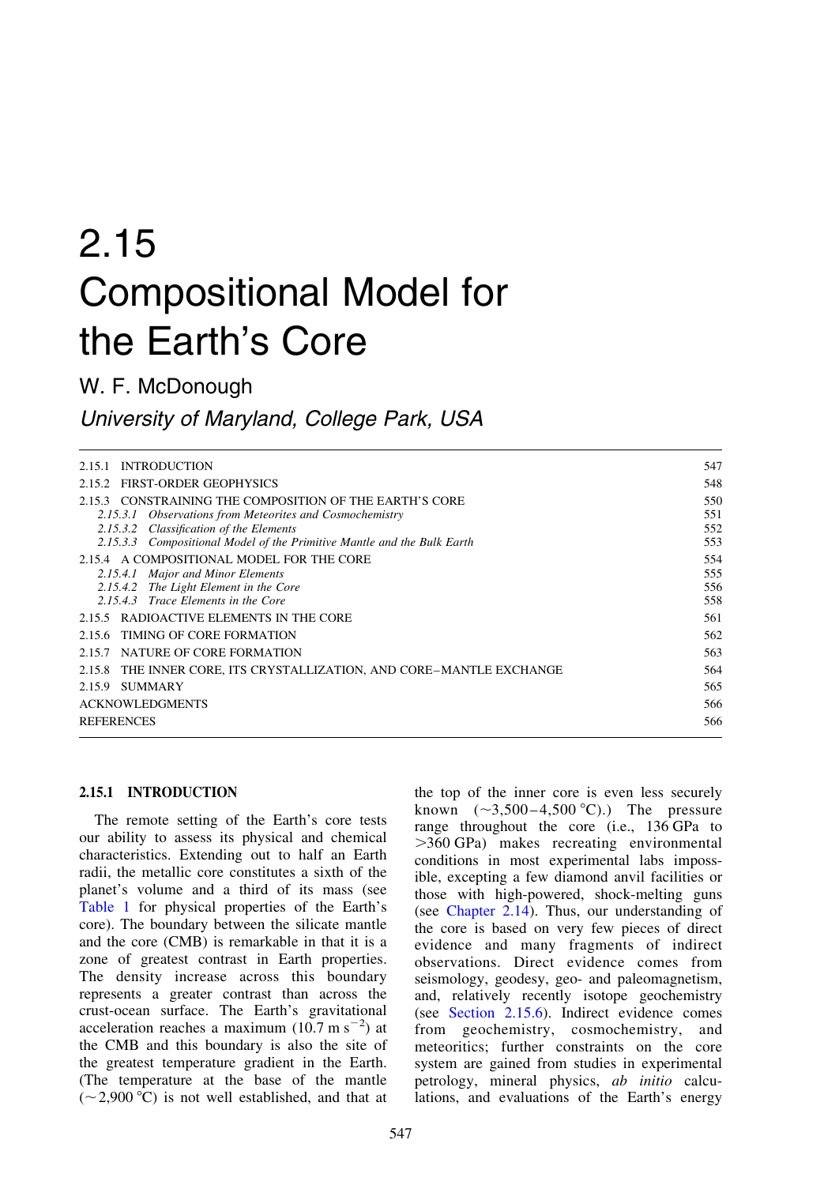# 2.15 Compositional Model for the Earth's Core

W. F. McDonough

University of Maryland, College Park, USA

| 2.15.1 INTRODUCTION                                                     | 547 |
|-------------------------------------------------------------------------|-----|
| 2.15.2 FIRST-ORDER GEOPHYSICS                                           | 548 |
| 2.15.3 CONSTRAINING THE COMPOSITION OF THE EARTH'S CORE                 | 550 |
| 2.15.3.1 Observations from Meteorites and Cosmochemistry                | 551 |
| <b>Classification of the Elements</b><br>2.15.3.2                       | 552 |
| 2.15.3.3 Compositional Model of the Primitive Mantle and the Bulk Earth | 553 |
| 2.15.4 A COMPOSITIONAL MODEL FOR THE CORE                               | 554 |
| 2.15.4.1 Major and Minor Elements                                       | 555 |
| 2.15.4.2 The Light Element in the Core                                  | 556 |
| 2.15.4.3 Trace Elements in the Core                                     | 558 |
| 2.15.5 RADIOACTIVE ELEMENTS IN THE CORE                                 | 561 |
| 2.15.6 TIMING OF CORE FORMATION                                         | 562 |
| 2.15.7 NATURE OF CORE FORMATION                                         | 563 |
| 2.15.8 THE INNER CORE, ITS CRYSTALLIZATION, AND CORE-MANTLE EXCHANGE    | 564 |
| 2.15.9 SUMMARY                                                          | 565 |
| <b>ACKNOWLEDGMENTS</b>                                                  | 566 |
| <b>REFERENCES</b>                                                       | 566 |
|                                                                         |     |

## 2.15.1 INTRODUCTION

The remote setting of the Earth's core tests our ability to assess its physical and chemical characteristics. Extending out to half an Earth radii, the metallic core constitutes a sixth of the planet's volume and a third of its mass (see [Table 1](#page-1-0) for physical properties of the Earth's core). The boundary between the silicate mantle and the core (CMB) is remarkable in that it is a zone of greatest contrast in Earth properties. The density increase across this boundary represents a greater contrast than across the crust-ocean surface. The Earth's gravitational acceleration reaches a maximum  $(10.7 \text{ m s}^{-2})$  at the CMB and this boundary is also the site of the greatest temperature gradient in the Earth. (The temperature at the base of the mantle  $(-2,900 \degree C)$  is not well established, and that at

the top of the inner core is even less securely known  $(\sim 3,500-4,500 \degree C)$ . The pressure range throughout the core (i.e., 136 GPa to .360 GPa) makes recreating environmental conditions in most experimental labs impossible, excepting a few diamond anvil facilities or those with high-powered, shock-melting guns (see Chapter 2.14). Thus, our understanding of the core is based on very few pieces of direct evidence and many fragments of indirect observations. Direct evidence comes from seismology, geodesy, geo- and paleomagnetism, and, relatively recently isotope geochemistry (see Section 2.15.6). Indirect evidence comes from geochemistry, cosmochemistry, and meteoritics; further constraints on the core system are gained from studies in experimental petrology, mineral physics, ab initio calculations, and evaluations of the Earth's energy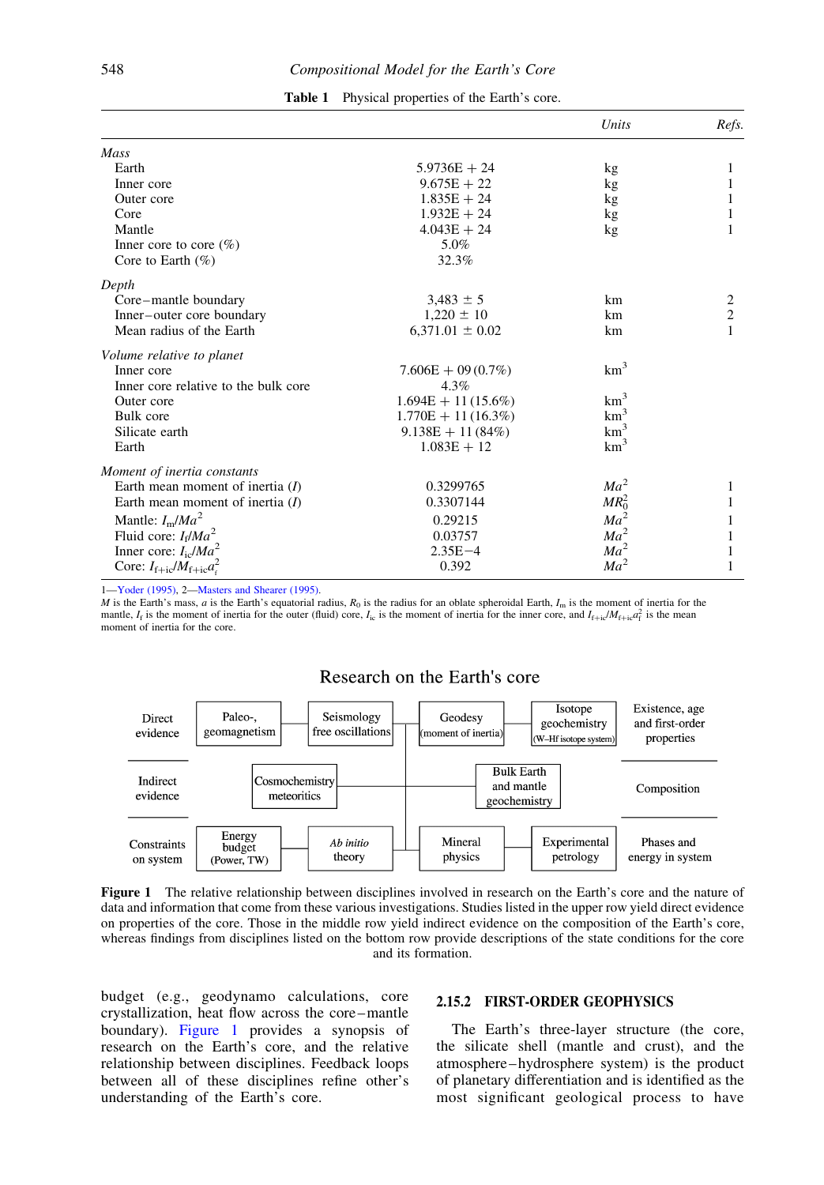| Table 1<br>Physical properties of the Earth's core. |  |
|-----------------------------------------------------|--|
|-----------------------------------------------------|--|

<span id="page-1-0"></span>

|                                      |                      | Units           | Refs.          |
|--------------------------------------|----------------------|-----------------|----------------|
| <b>Mass</b>                          |                      |                 |                |
| Earth                                | $5.9736E + 24$       | kg              | 1              |
| Inner core                           | $9.675E + 22$        | kg              | 1              |
| Outer core                           | $1.835E + 24$        | kg              | 1              |
| Core                                 | $1.932E + 24$        | kg              |                |
| Mantle                               | $4.043E + 24$        | kg              |                |
| Inner core to core $(\%)$            | 5.0%                 |                 |                |
| Core to Earth $(\%)$                 | 32.3%                |                 |                |
| Depth                                |                      |                 |                |
| Core-mantle boundary                 | $3,483 \pm 5$        | km              | 2              |
| Inner-outer core boundary            | $1,220 \pm 10$       | km              | $\overline{c}$ |
| Mean radius of the Earth             | $6,371.01 \pm 0.02$  | km              |                |
| Volume relative to planet            |                      |                 |                |
| Inner core                           | $7.606E + 09(0.7%)$  | km <sup>3</sup> |                |
| Inner core relative to the bulk core | $4.3\%$              |                 |                |
| Outer core                           | $1.694E + 11(15.6%)$ | km <sup>3</sup> |                |
| Bulk core                            | $1.770E + 11(16.3%)$ | km <sup>3</sup> |                |
| Silicate earth                       | $9.138E + 11(84%)$   | km <sup>3</sup> |                |
| Earth                                | $1.083E + 12$        | km <sup>3</sup> |                |
| Moment of inertia constants          |                      |                 |                |
| Earth mean moment of inertia $(I)$   | 0.3299765            | $Ma^2$          | 1              |
| Earth mean moment of inertia $(I)$   | 0.3307144            | $MR_0^2$        |                |
| Mantle: $I_m/Ma^2$                   | 0.29215              | $Ma^2$          | 1              |
| Fluid core: $I_f/Ma^2$               | 0.03757              | $Ma^2$          | 1              |
| Inner core: $I_{\rm ic} / Ma^2$      | $2.35E - 4$          | $Ma^2$          | 1              |
| Core: $I_{f+ic}/M_{f+ic}a_i^2$       | 0.392                | $Ma^2$          |                |

1[—Yoder \(1995\)](#page-21-0), 2—[Masters and Shearer \(1995\)](#page-20-0).

M is the Earth's mass, a is the Earth's equatorial radius,  $R_0$  is the radius for an oblate spheroidal Earth,  $I_m$  is the moment of inertia for the mantle,  $I_f$  is the moment of inertia for the outer (fluid) core,  $I_{ic}$  is the moment of inertia for the inner core, and  $I_{f+i\epsilon}/M_{f+i\epsilon}a_f^2$  is the mean moment of inertia for the core.



## Research on the Earth's core

Figure 1 The relative relationship between disciplines involved in research on the Earth's core and the nature of data and information that come from these various investigations. Studies listed in the upper row yield direct evidence on properties of the core. Those in the middle row yield indirect evidence on the composition of the Earth's core, whereas findings from disciplines listed on the bottom row provide descriptions of the state conditions for the core and its formation.

budget (e.g., geodynamo calculations, core crystallization, heat flow across the core–mantle boundary). Figure 1 provides a synopsis of research on the Earth's core, and the relative relationship between disciplines. Feedback loops between all of these disciplines refine other's understanding of the Earth's core.

## 2.15.2 FIRST-ORDER GEOPHYSICS

The Earth's three-layer structure (the core, the silicate shell (mantle and crust), and the atmosphere–hydrosphere system) is the product of planetary differentiation and is identified as the most significant geological process to have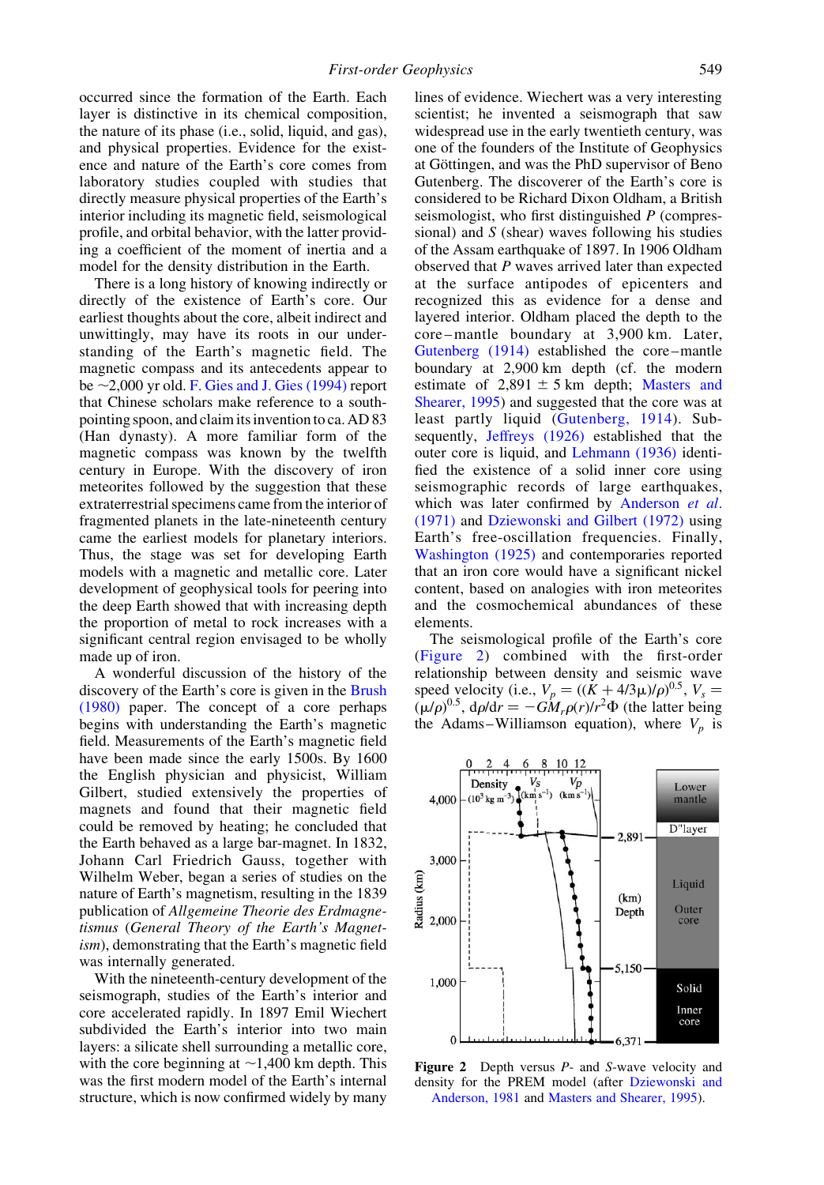<span id="page-2-0"></span>occurred since the formation of the Earth. Each layer is distinctive in its chemical composition, the nature of its phase (i.e., solid, liquid, and gas), and physical properties. Evidence for the existence and nature of the Earth's core comes from laboratory studies coupled with studies that directly measure physical properties of the Earth's interior including its magnetic field, seismological profile, and orbital behavior, with the latter providing a coefficient of the moment of inertia and a model for the density distribution in the Earth.

There is a long history of knowing indirectly or directly of the existence of Earth's core. Our earliest thoughts about the core, albeit indirect and unwittingly, may have its roots in our understanding of the Earth's magnetic field. The magnetic compass and its antecedents appear to be  $\sim$ 2,000 yr old. [F. Gies and J. Gies \(1994\)](#page-19-0) report that Chinese scholars make reference to a southpointing spoon, and claim its invention to ca. AD 83 (Han dynasty). A more familiar form of the magnetic compass was known by the twelfth century in Europe. With the discovery of iron meteorites followed by the suggestion that these extraterrestrial specimens came from the interior of fragmented planets in the late-nineteenth century came the earliest models for planetary interiors. Thus, the stage was set for developing Earth models with a magnetic and metallic core. Later development of geophysical tools for peering into the deep Earth showed that with increasing depth the proportion of metal to rock increases with a significant central region envisaged to be wholly made up of iron.

A wonderful discussion of the history of the discovery of the Earth's core is given in the [Brush](#page-19-0) [\(1980\)](#page-19-0) paper. The concept of a core perhaps begins with understanding the Earth's magnetic field. Measurements of the Earth's magnetic field have been made since the early 1500s. By 1600 the English physician and physicist, William Gilbert, studied extensively the properties of magnets and found that their magnetic field could be removed by heating; he concluded that the Earth behaved as a large bar-magnet. In 1832, Johann Carl Friedrich Gauss, together with Wilhelm Weber, began a series of studies on the nature of Earth's magnetism, resulting in the 1839 publication of Allgemeine Theorie des Erdmagnetismus (General Theory of the Earth's Magnetism), demonstrating that the Earth's magnetic field was internally generated.

With the nineteenth-century development of the seismograph, studies of the Earth's interior and core accelerated rapidly. In 1897 Emil Wiechert subdivided the Earth's interior into two main layers: a silicate shell surrounding a metallic core, with the core beginning at  $\sim$ 1,400 km depth. This was the first modern model of the Earth's internal structure, which is now confirmed widely by many

lines of evidence. Wiechert was a very interesting scientist; he invented a seismograph that saw widespread use in the early twentieth century, was one of the founders of the Institute of Geophysics at Göttingen, and was the PhD supervisor of Beno Gutenberg. The discoverer of the Earth's core is considered to be Richard Dixon Oldham, a British seismologist, who first distinguished  $P$  (compressional) and  $S$  (shear) waves following his studies of the Assam earthquake of 1897. In 1906 Oldham observed that P waves arrived later than expected at the surface antipodes of epicenters and recognized this as evidence for a dense and layered interior. Oldham placed the depth to the core–mantle boundary at 3,900 km. Later, [Gutenberg \(1914\)](#page-20-0) established the core–mantle boundary at 2,900 km depth (cf. the modern estimate of  $2,891 \pm 5$  km depth; [Masters and](#page-20-0) [Shearer, 1995\)](#page-20-0) and suggested that the core was at least partly liquid ([Gutenberg, 1914](#page-20-0)). Subsequently, [Jeffreys \(1926\)](#page-20-0) established that the outer core is liquid, and [Lehmann \(1936\)](#page-20-0) identified the existence of a solid inner core using seismographic records of large earthquakes, which was later confirmed by [Anderson](#page-19-0) et al. [\(1971\)](#page-19-0) and [Dziewonski and Gilbert \(1972\)](#page-19-0) using Earth's free-oscillation frequencies. Finally, [Washington \(1925\)](#page-21-0) and contemporaries reported that an iron core would have a significant nickel content, based on analogies with iron meteorites and the cosmochemical abundances of these elements.

The seismological profile of the Earth's core (Figure 2) combined with the first-order relationship between density and seismic wave speed velocity (i.e.,  $V_p = ((K + 4/3\mu)/\rho)^{0.5}$ ,  $V_s =$  $(\mu/\rho)^{0.5}$ , d $\rho$ /d $r = -GM_r\rho(r)/r^2\Phi$  (the latter being the Adams–Williamson equation), where  $V_p$  is



Figure 2 Depth versus P- and S-wave velocity and density for the PREM model (after [Dziewonski and](#page-19-0) [Anderson, 1981](#page-19-0) and [Masters and Shearer, 1995\)](#page-20-0).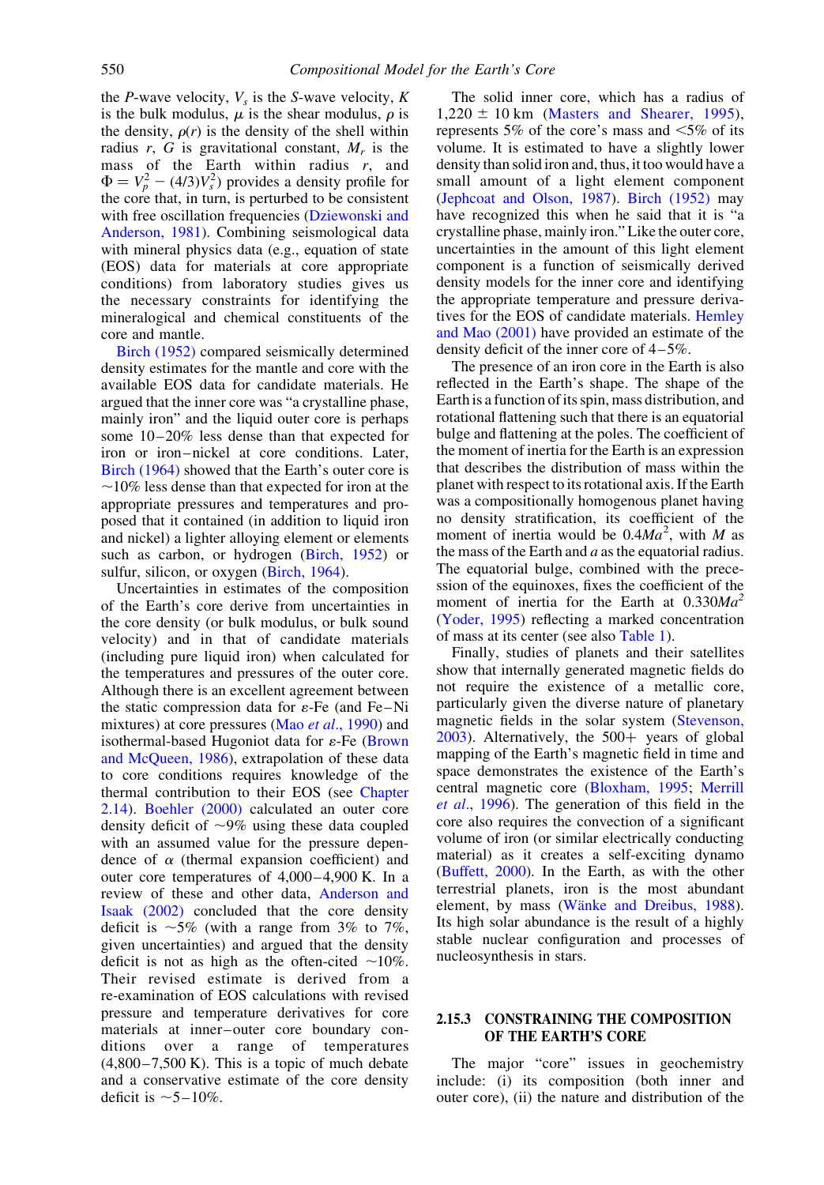the P-wave velocity,  $V_s$  is the S-wave velocity,  $K$ is the bulk modulus,  $\mu$  is the shear modulus,  $\rho$  is the density,  $\rho(r)$  is the density of the shell within radius r, G is gravitational constant,  $M_r$  is the mass of the Earth within radius  $r$ , and  $\Phi = V_p^2 - (4/3)V_s^2$ ) provides a density profile for the core that, in turn, is perturbed to be consistent with free oscillation frequencies [\(Dziewonski and](#page-19-0) [Anderson, 1981](#page-19-0)). Combining seismological data with mineral physics data (e.g., equation of state (EOS) data for materials at core appropriate conditions) from laboratory studies gives us the necessary constraints for identifying the mineralogical and chemical constituents of the core and mantle.

[Birch \(1952\)](#page-19-0) compared seismically determined density estimates for the mantle and core with the available EOS data for candidate materials. He argued that the inner core was "a crystalline phase, mainly iron" and the liquid outer core is perhaps some 10–20% less dense than that expected for iron or iron–nickel at core conditions. Later, [Birch \(1964\)](#page-19-0) showed that the Earth's outer core is  $\sim$ 10% less dense than that expected for iron at the appropriate pressures and temperatures and proposed that it contained (in addition to liquid iron and nickel) a lighter alloying element or elements such as carbon, or hydrogen ([Birch, 1952\)](#page-19-0) or sulfur, silicon, or oxygen ([Birch, 1964](#page-19-0)).

Uncertainties in estimates of the composition of the Earth's core derive from uncertainties in the core density (or bulk modulus, or bulk sound velocity) and in that of candidate materials (including pure liquid iron) when calculated for the temperatures and pressures of the outer core. Although there is an excellent agreement between the static compression data for  $\varepsilon$ -Fe (and Fe–Ni mixtures) at core pressures (Mao *et al.*, 1990) and isothermal-based Hugoniot data for  $\varepsilon$ -Fe ([Brown](#page-19-0) [and McQueen, 1986\)](#page-19-0), extrapolation of these data to core conditions requires knowledge of the thermal contribution to their EOS (see Chapter 2.14). [Boehler \(2000\)](#page-19-0) calculated an outer core density deficit of  $\sim 9\%$  using these data coupled with an assumed value for the pressure dependence of  $\alpha$  (thermal expansion coefficient) and outer core temperatures of 4,000–4,900 K. In a review of these and other data, [Anderson and](#page-19-0) [Isaak \(2002\)](#page-19-0) concluded that the core density deficit is  $\sim 5\%$  (with a range from 3% to 7%, given uncertainties) and argued that the density deficit is not as high as the often-cited  $\sim$ 10%. Their revised estimate is derived from a re-examination of EOS calculations with revised pressure and temperature derivatives for core materials at inner–outer core boundary conditions over a range of temperatures  $(4,800-7,500 \text{ K})$ . This is a topic of much debate and a conservative estimate of the core density deficit is  $\sim$  5–10%.

The solid inner core, which has a radius of  $1,220 \pm 10$  km ([Masters and Shearer, 1995](#page-20-0)), represents 5% of the core's mass and  $\leq$ 5% of its volume. It is estimated to have a slightly lower density than solid iron and, thus, it too would have a small amount of a light element component [\(Jephcoat and Olson, 1987\)](#page-20-0). [Birch \(1952\)](#page-19-0) may have recognized this when he said that it is "a crystalline phase, mainly iron." Like the outer core, uncertainties in the amount of this light element component is a function of seismically derived density models for the inner core and identifying the appropriate temperature and pressure derivatives for the EOS of candidate materials. [Hemley](#page-20-0) [and Mao \(2001\)](#page-20-0) have provided an estimate of the density deficit of the inner core of 4–5%.

The presence of an iron core in the Earth is also reflected in the Earth's shape. The shape of the Earth is a function of its spin, mass distribution, and rotational flattening such that there is an equatorial bulge and flattening at the poles. The coefficient of the moment of inertia for the Earth is an expression that describes the distribution of mass within the planet with respect to its rotational axis. If the Earth was a compositionally homogenous planet having no density stratification, its coefficient of the moment of inertia would be  $0.4Ma^2$ , with M as the mass of the Earth and  $a$  as the equatorial radius. The equatorial bulge, combined with the precession of the equinoxes, fixes the coefficient of the moment of inertia for the Earth at  $0.330Ma^2$ [\(Yoder, 1995\)](#page-21-0) reflecting a marked concentration of mass at its center (see also [Table 1\)](#page-1-0).

Finally, studies of planets and their satellites show that internally generated magnetic fields do not require the existence of a metallic core, particularly given the diverse nature of planetary magnetic fields in the solar system ([Stevenson,](#page-21-0)  $2003$ ). Alternatively, the  $500+$  years of global mapping of the Earth's magnetic field in time and space demonstrates the existence of the Earth's central magnetic core ([Bloxham, 1995;](#page-19-0) [Merrill](#page-20-0) et al[., 1996\)](#page-20-0). The generation of this field in the core also requires the convection of a significant volume of iron (or similar electrically conducting material) as it creates a self-exciting dynamo [\(Buffett, 2000](#page-19-0)). In the Earth, as with the other terrestrial planets, iron is the most abundant element, by mass (Wänke and Dreibus, 1988). Its high solar abundance is the result of a highly stable nuclear configuration and processes of nucleosynthesis in stars.

## 2.15.3 CONSTRAINING THE COMPOSITION OF THE EARTH'S CORE

The major "core" issues in geochemistry include: (i) its composition (both inner and outer core), (ii) the nature and distribution of the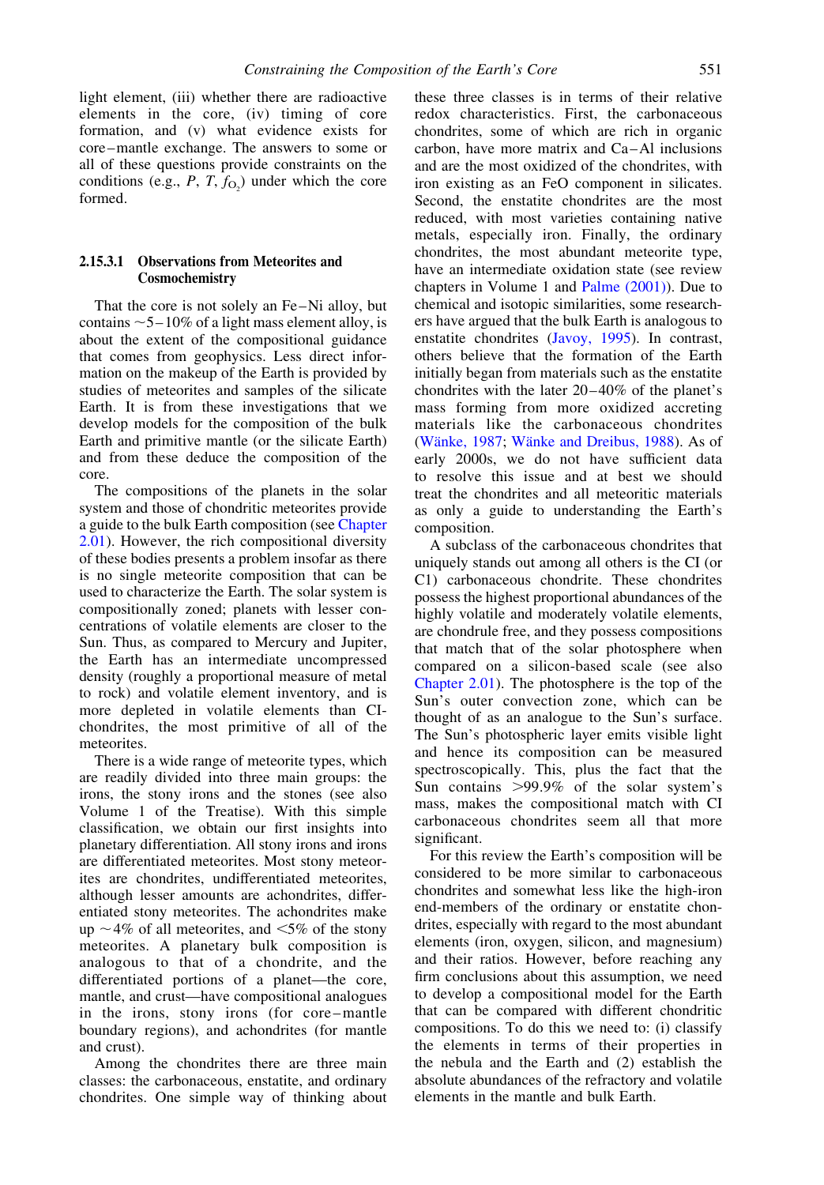light element, (iii) whether there are radioactive elements in the core, (iv) timing of core formation, and (v) what evidence exists for core–mantle exchange. The answers to some or all of these questions provide constraints on the conditions (e.g.,  $P$ ,  $T$ ,  $f_{O_2}$ ) under which the core formed.

## 2.15.3.1 Observations from Meteorites and **Cosmochemistry**

That the core is not solely an Fe–Ni alloy, but contains  $\sim$  5–10% of a light mass element alloy, is about the extent of the compositional guidance that comes from geophysics. Less direct information on the makeup of the Earth is provided by studies of meteorites and samples of the silicate Earth. It is from these investigations that we develop models for the composition of the bulk Earth and primitive mantle (or the silicate Earth) and from these deduce the composition of the core.

The compositions of the planets in the solar system and those of chondritic meteorites provide a guide to the bulk Earth composition (see Chapter 2.01). However, the rich compositional diversity of these bodies presents a problem insofar as there is no single meteorite composition that can be used to characterize the Earth. The solar system is compositionally zoned; planets with lesser concentrations of volatile elements are closer to the Sun. Thus, as compared to Mercury and Jupiter, the Earth has an intermediate uncompressed density (roughly a proportional measure of metal to rock) and volatile element inventory, and is more depleted in volatile elements than CIchondrites, the most primitive of all of the meteorites.

There is a wide range of meteorite types, which are readily divided into three main groups: the irons, the stony irons and the stones (see also Volume 1 of the Treatise). With this simple classification, we obtain our first insights into planetary differentiation. All stony irons and irons are differentiated meteorites. Most stony meteorites are chondrites, undifferentiated meteorites, although lesser amounts are achondrites, differentiated stony meteorites. The achondrites make up  $\sim$  4% of all meteorites, and  $\leq$ 5% of the stony meteorites. A planetary bulk composition is analogous to that of a chondrite, and the differentiated portions of a planet—the core, mantle, and crust—have compositional analogues in the irons, stony irons (for core–mantle boundary regions), and achondrites (for mantle and crust).

Among the chondrites there are three main classes: the carbonaceous, enstatite, and ordinary chondrites. One simple way of thinking about

these three classes is in terms of their relative redox characteristics. First, the carbonaceous chondrites, some of which are rich in organic carbon, have more matrix and Ca–Al inclusions and are the most oxidized of the chondrites, with iron existing as an FeO component in silicates. Second, the enstatite chondrites are the most reduced, with most varieties containing native metals, especially iron. Finally, the ordinary chondrites, the most abundant meteorite type, have an intermediate oxidation state (see review chapters in Volume 1 and [Palme \(2001\)](#page-20-0)). Due to chemical and isotopic similarities, some researchers have argued that the bulk Earth is analogous to enstatite chondrites [\(Javoy, 1995\)](#page-20-0). In contrast, others believe that the formation of the Earth initially began from materials such as the enstatite chondrites with the later 20–40% of the planet's mass forming from more oxidized accreting materials like the carbonaceous chondrites (Wänke, 1987; Wänke and Dreibus, 1988). As of early 2000s, we do not have sufficient data to resolve this issue and at best we should treat the chondrites and all meteoritic materials as only a guide to understanding the Earth's composition.

A subclass of the carbonaceous chondrites that uniquely stands out among all others is the CI (or C1) carbonaceous chondrite. These chondrites possess the highest proportional abundances of the highly volatile and moderately volatile elements, are chondrule free, and they possess compositions that match that of the solar photosphere when compared on a silicon-based scale (see also Chapter 2.01). The photosphere is the top of the Sun's outer convection zone, which can be thought of as an analogue to the Sun's surface. The Sun's photospheric layer emits visible light and hence its composition can be measured spectroscopically. This, plus the fact that the Sun contains  $>99.9\%$  of the solar system's mass, makes the compositional match with CI carbonaceous chondrites seem all that more significant.

For this review the Earth's composition will be considered to be more similar to carbonaceous chondrites and somewhat less like the high-iron end-members of the ordinary or enstatite chondrites, especially with regard to the most abundant elements (iron, oxygen, silicon, and magnesium) and their ratios. However, before reaching any firm conclusions about this assumption, we need to develop a compositional model for the Earth that can be compared with different chondritic compositions. To do this we need to: (i) classify the elements in terms of their properties in the nebula and the Earth and (2) establish the absolute abundances of the refractory and volatile elements in the mantle and bulk Earth.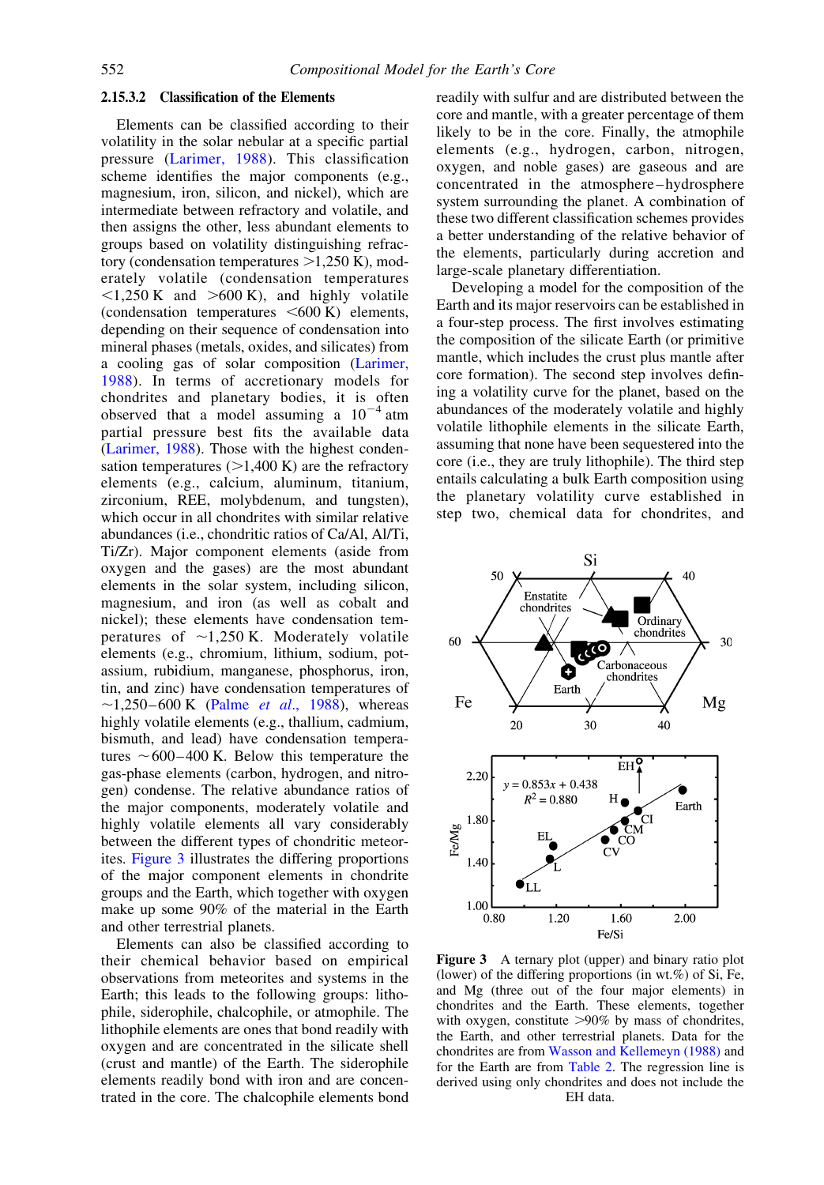#### <span id="page-5-0"></span>2.15.3.2 Classification of the Elements

Elements can be classified according to their volatility in the solar nebular at a specific partial pressure [\(Larimer, 1988\)](#page-20-0). This classification scheme identifies the major components (e.g., magnesium, iron, silicon, and nickel), which are intermediate between refractory and volatile, and then assigns the other, less abundant elements to groups based on volatility distinguishing refractory (condensation temperatures  $>1,250$  K), moderately volatile (condensation temperatures  $\langle 1,250 \text{ K} \rangle$  and  $\langle 600 \text{ K} \rangle$ , and highly volatile (condensation temperatures  $\leq 600 \text{ K}$ ) elements, depending on their sequence of condensation into mineral phases (metals, oxides, and silicates) from a cooling gas of solar composition [\(Larimer,](#page-20-0) [1988](#page-20-0)). In terms of accretionary models for chondrites and planetary bodies, it is often observed that a model assuming a  $10^{-4}$  atm partial pressure best fits the available data [\(Larimer, 1988](#page-20-0)). Those with the highest condensation temperatures  $(>1,400 \text{ K})$  are the refractory elements (e.g., calcium, aluminum, titanium, zirconium, REE, molybdenum, and tungsten), which occur in all chondrites with similar relative abundances (i.e., chondritic ratios of Ca/Al, Al/Ti, Ti/Zr). Major component elements (aside from oxygen and the gases) are the most abundant elements in the solar system, including silicon, magnesium, and iron (as well as cobalt and nickel); these elements have condensation temperatures of  $\sim$ 1,250 K. Moderately volatile elements (e.g., chromium, lithium, sodium, potassium, rubidium, manganese, phosphorus, iron, tin, and zinc) have condensation temperatures of  $\sim$ 1,250–600 K (Palme *et al.*, 1988), whereas highly volatile elements (e.g., thallium, cadmium, bismuth, and lead) have condensation temperatures  $\sim$  600–400 K. Below this temperature the gas-phase elements (carbon, hydrogen, and nitrogen) condense. The relative abundance ratios of the major components, moderately volatile and highly volatile elements all vary considerably between the different types of chondritic meteorites. Figure 3 illustrates the differing proportions of the major component elements in chondrite groups and the Earth, which together with oxygen make up some 90% of the material in the Earth and other terrestrial planets.

Elements can also be classified according to their chemical behavior based on empirical observations from meteorites and systems in the Earth; this leads to the following groups: lithophile, siderophile, chalcophile, or atmophile. The lithophile elements are ones that bond readily with oxygen and are concentrated in the silicate shell (crust and mantle) of the Earth. The siderophile elements readily bond with iron and are concentrated in the core. The chalcophile elements bond readily with sulfur and are distributed between the core and mantle, with a greater percentage of them likely to be in the core. Finally, the atmophile elements (e.g., hydrogen, carbon, nitrogen, oxygen, and noble gases) are gaseous and are concentrated in the atmosphere–hydrosphere system surrounding the planet. A combination of these two different classification schemes provides a better understanding of the relative behavior of the elements, particularly during accretion and large-scale planetary differentiation.

Developing a model for the composition of the Earth and its major reservoirs can be established in a four-step process. The first involves estimating the composition of the silicate Earth (or primitive mantle, which includes the crust plus mantle after core formation). The second step involves defining a volatility curve for the planet, based on the abundances of the moderately volatile and highly volatile lithophile elements in the silicate Earth, assuming that none have been sequestered into the core (i.e., they are truly lithophile). The third step entails calculating a bulk Earth composition using the planetary volatility curve established in step two, chemical data for chondrites, and



Figure 3 A ternary plot (upper) and binary ratio plot (lower) of the differing proportions (in wt.%) of Si, Fe, and Mg (three out of the four major elements) in chondrites and the Earth. These elements, together with oxygen, constitute  $>90\%$  by mass of chondrites, the Earth, and other terrestrial planets. Data for the chondrites are from [Wasson and Kellemeyn \(1988\)](#page-21-0) and for the Earth are from [Table 2](#page-6-0). The regression line is derived using only chondrites and does not include the EH data.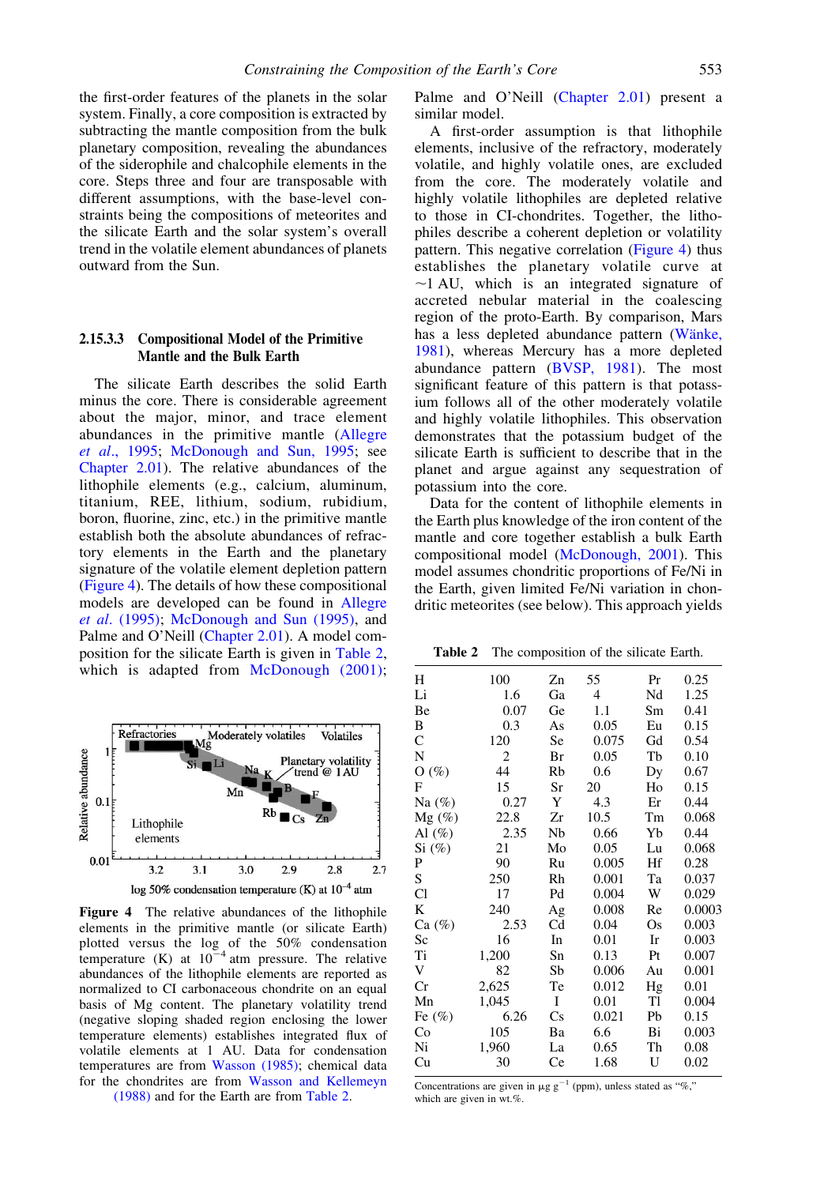<span id="page-6-0"></span>the first-order features of the planets in the solar system. Finally, a core composition is extracted by subtracting the mantle composition from the bulk planetary composition, revealing the abundances of the siderophile and chalcophile elements in the core. Steps three and four are transposable with different assumptions, with the base-level constraints being the compositions of meteorites and the silicate Earth and the solar system's overall trend in the volatile element abundances of planets outward from the Sun.

#### 2.15.3.3 Compositional Model of the Primitive Mantle and the Bulk Earth

The silicate Earth describes the solid Earth minus the core. There is considerable agreement about the major, minor, and trace element abundances in the primitive mantle [\(Allegre](#page-19-0) et al[., 1995;](#page-19-0) [McDonough and Sun, 1995;](#page-20-0) see Chapter 2.01). The relative abundances of the lithophile elements (e.g., calcium, aluminum, titanium, REE, lithium, sodium, rubidium, boron, fluorine, zinc, etc.) in the primitive mantle establish both the absolute abundances of refractory elements in the Earth and the planetary signature of the volatile element depletion pattern (Figure 4). The details of how these compositional models are developed can be found in [Allegre](#page-19-0) et al[. \(1995\)](#page-19-0); [McDonough and Sun \(1995\),](#page-20-0) and Palme and O'Neill (Chapter 2.01). A model composition for the silicate Earth is given in Table 2, which is adapted from [McDonough \(2001\);](#page-20-0)



Figure 4 The relative abundances of the lithophile elements in the primitive mantle (or silicate Earth) plotted versus the log of the 50% condensation temperature (K) at  $10^{-4}$  atm pressure. The relative abundances of the lithophile elements are reported as normalized to CI carbonaceous chondrite on an equal basis of Mg content. The planetary volatility trend (negative sloping shaded region enclosing the lower temperature elements) establishes integrated flux of volatile elements at 1 AU. Data for condensation temperatures are from [Wasson \(1985\)](#page-21-0); chemical data for the chondrites are from [Wasson and Kellemeyn](#page-21-0)

[\(1988\)](#page-21-0) and for the Earth are from Table 2.

Palme and O'Neill (Chapter 2.01) present a similar model.

A first-order assumption is that lithophile elements, inclusive of the refractory, moderately volatile, and highly volatile ones, are excluded from the core. The moderately volatile and highly volatile lithophiles are depleted relative to those in CI-chondrites. Together, the lithophiles describe a coherent depletion or volatility pattern. This negative correlation (Figure 4) thus establishes the planetary volatile curve at  $\sim$ 1 AU, which is an integrated signature of accreted nebular material in the coalescing region of the proto-Earth. By comparison, Mars has a less depleted abundance pattern (Wänke, [1981\)](#page-21-0), whereas Mercury has a more depleted abundance pattern [\(BVSP, 1981](#page-19-0)). The most significant feature of this pattern is that potassium follows all of the other moderately volatile and highly volatile lithophiles. This observation demonstrates that the potassium budget of the silicate Earth is sufficient to describe that in the planet and argue against any sequestration of potassium into the core.

Data for the content of lithophile elements in the Earth plus knowledge of the iron content of the mantle and core together establish a bulk Earth compositional model [\(McDonough, 2001\)](#page-20-0). This model assumes chondritic proportions of Fe/Ni in the Earth, given limited Fe/Ni variation in chondritic meteorites (see below). This approach yields

Table 2 The composition of the silicate Earth.

| Н           | 100            | Zn | 55    | Pr | 0.25   |
|-------------|----------------|----|-------|----|--------|
| Li          | 1.6            | Ga | 4     | Nd | 1.25   |
| Be          | 0.07           | Ge | 1.1   | Sm | 0.41   |
| B           | 0.3            | As | 0.05  | Eu | 0.15   |
| C           | 120            | Se | 0.075 | Gd | 0.54   |
| N           | $\overline{c}$ | Br | 0.05  | Tb | 0.10   |
| O(%)        | 44             | Rb | 0.6   | Dy | 0.67   |
| F           | 15             | Sr | 20    | Ho | 0.15   |
| Na $(\%)$   | 0.27           | Y  | 4.3   | Er | 0.44   |
| $Mg(\%)$    | 22.8           | Zr | 10.5  | Tm | 0.068  |
| Al $(\%)$   | 2.35           | Nb | 0.66  | Yb | 0.44   |
| Si (%)      | 21             | Mo | 0.05  | Lu | 0.068  |
| P           | 90             | Ru | 0.005 | Hf | 0.28   |
| S           | 250            | Rh | 0.001 | Ta | 0.037  |
| <b>Cl</b>   | 17             | Pd | 0.004 | W  | 0.029  |
| K           | 240            | Ag | 0.008 | Re | 0.0003 |
| Ca $(\%)$   | 2.53           | Cd | 0.04  | Os | 0.003  |
| Sc          | 16             | In | 0.01  | Ir | 0.003  |
| Ti          | 1,200          | Sn | 0.13  | Pt | 0.007  |
| V           | 82             | Sb | 0.006 | Au | 0.001  |
| $_{\rm Cr}$ | 2,625          | Te | 0.012 | Hg | 0.01   |
| Mn          | 1,045          | I  | 0.01  | Tl | 0.004  |
| Fe $(\%)$   | 6.26           | Cs | 0.021 | Pb | 0.15   |
| Co          | 105            | Ba | 6.6   | Bi | 0.003  |
| Ni          | 1,960          | La | 0.65  | Th | 0.08   |
| Cu          | 30             | Ce | 1.68  | U  | 0.02   |
|             |                |    |       |    |        |

Concentrations are given in  $\mu$ g g<sup>-1</sup> (ppm), unless stated as "%," which are given in wt.%.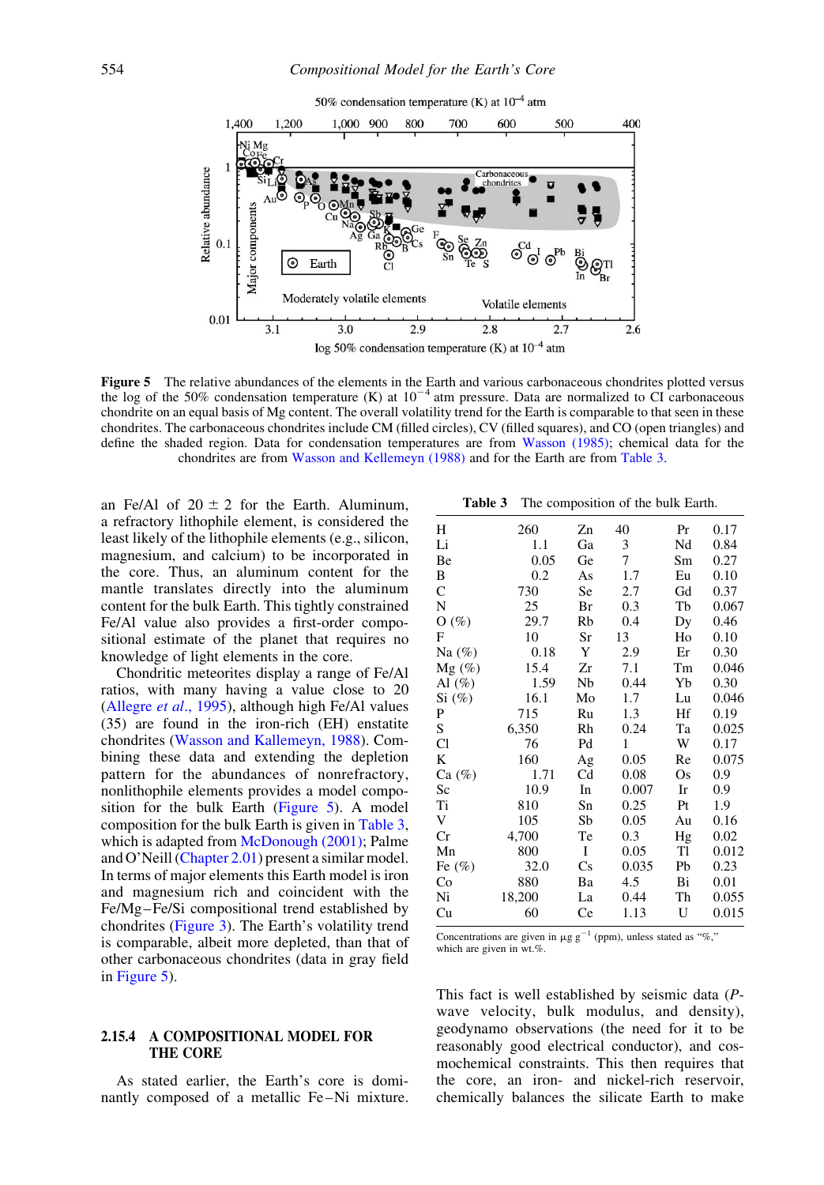<span id="page-7-0"></span>

Figure 5 The relative abundances of the elements in the Earth and various carbonaceous chondrites plotted versus the log of the 50% condensation temperature  $(K)$  at 10<sup>-4</sup> atm pressure. Data are normalized to CI carbonaceous chondrite on an equal basis of Mg content. The overall volatility trend for the Earth is comparable to that seen in these chondrites. The carbonaceous chondrites include CM (filled circles), CV (filled squares), and CO (open triangles) and define the shaded region. Data for condensation temperatures are from [Wasson \(1985\)](#page-21-0); chemical data for the chondrites are from [Wasson and Kellemeyn \(1988\)](#page-21-0) and for the Earth are from Table 3.

an Fe/Al of  $20 \pm 2$  for the Earth. Aluminum, a refractory lithophile element, is considered the least likely of the lithophile elements (e.g., silicon, magnesium, and calcium) to be incorporated in the core. Thus, an aluminum content for the mantle translates directly into the aluminum content for the bulk Earth. This tightly constrained Fe/Al value also provides a first-order compositional estimate of the planet that requires no knowledge of light elements in the core.

Chondritic meteorites display a range of Fe/Al ratios, with many having a value close to 20 [\(Allegre](#page-19-0) *et al.*, 1995), although high Fe/Al values (35) are found in the iron-rich (EH) enstatite chondrites ([Wasson and Kallemeyn, 1988\)](#page-21-0). Combining these data and extending the depletion pattern for the abundances of nonrefractory, nonlithophile elements provides a model composition for the bulk Earth (Figure 5). A model composition for the bulk Earth is given in Table 3, which is adapted from [McDonough \(2001\);](#page-20-0) Palme and O'Neill (Chapter 2.01) present a similar model. In terms of major elements this Earth model is iron and magnesium rich and coincident with the Fe/Mg–Fe/Si compositional trend established by chondrites ([Figure 3\)](#page-5-0). The Earth's volatility trend is comparable, albeit more depleted, than that of other carbonaceous chondrites (data in gray field in Figure 5).

## 2.15.4 A COMPOSITIONAL MODEL FOR THE CORE

As stated earlier, the Earth's core is dominantly composed of a metallic Fe–Ni mixture.

Table 3 The composition of the bulk Earth.

| Н         | 260    | Zn                     | 40    | Pr | 0.17  |
|-----------|--------|------------------------|-------|----|-------|
| Li        | 1.1    | Ga                     | 3     | Nd | 0.84  |
| Be        | 0.05   | Ge                     | 7     | Sm | 0.27  |
| B         | 0.2    | As                     | 1.7   | Eu | 0.10  |
| C         | 730    | Se                     | 2.7   | Gd | 0.37  |
| N         | 25     | Br                     | 0.3   | Tb | 0.067 |
| O(%)      | 29.7   | Rb                     | 0.4   | Dy | 0.46  |
| F         | 10     | Sr                     | 13    | Ho | 0.10  |
| Na $(\%)$ | 0.18   | Y                      | 2.9   | Er | 0.30  |
| $Mg(\%)$  | 15.4   | Zr                     | 7.1   | Tm | 0.046 |
| Al $(\%)$ | 1.59   | Nb                     | 0.44  | Yb | 0.30  |
| $Si$ (%)  | 16.1   | Mo                     | 1.7   | Lu | 0.046 |
| P         | 715    | Ru                     | 1.3   | Hf | 0.19  |
| S         | 6,350  | Rh                     | 0.24  | Ta | 0.025 |
| Cl        | 76     | Pd                     | 1     | W  | 0.17  |
| K         | 160    | Ag                     | 0.05  | Re | 0.075 |
| Ca (%)    | 1.71   | $_{\mathrm{Cd}}$       | 0.08  | Os | 0.9   |
| Sc        | 10.9   | In                     | 0.007 | Ir | 0.9   |
| Ti        | 810    | Sn                     | 0.25  | Pt | 1.9   |
| V         | 105    | Sb                     | 0.05  | Au | 0.16  |
| Cr        | 4,700  | Te                     | 0.3   | Hg | 0.02  |
| Mn        | 800    | I                      | 0.05  | Tl | 0.012 |
|           |        |                        |       |    |       |
| Fe $(\%)$ | 32.0   | $\mathbf{C}\mathbf{s}$ | 0.035 | Pb | 0.23  |
| Co        | 880    | Ba                     | 4.5   | Bi | 0.01  |
| Ni        | 18,200 | La                     | 0.44  | Th | 0.055 |
| Cu        | 60     | Ce                     | 1.13  | U  | 0.015 |

Concentrations are given in  $\mu$ g g<sup>-1</sup> (ppm), unless stated as "%," which are given in wt.%.

This fact is well established by seismic data (Pwave velocity, bulk modulus, and density), geodynamo observations (the need for it to be reasonably good electrical conductor), and cosmochemical constraints. This then requires that the core, an iron- and nickel-rich reservoir, chemically balances the silicate Earth to make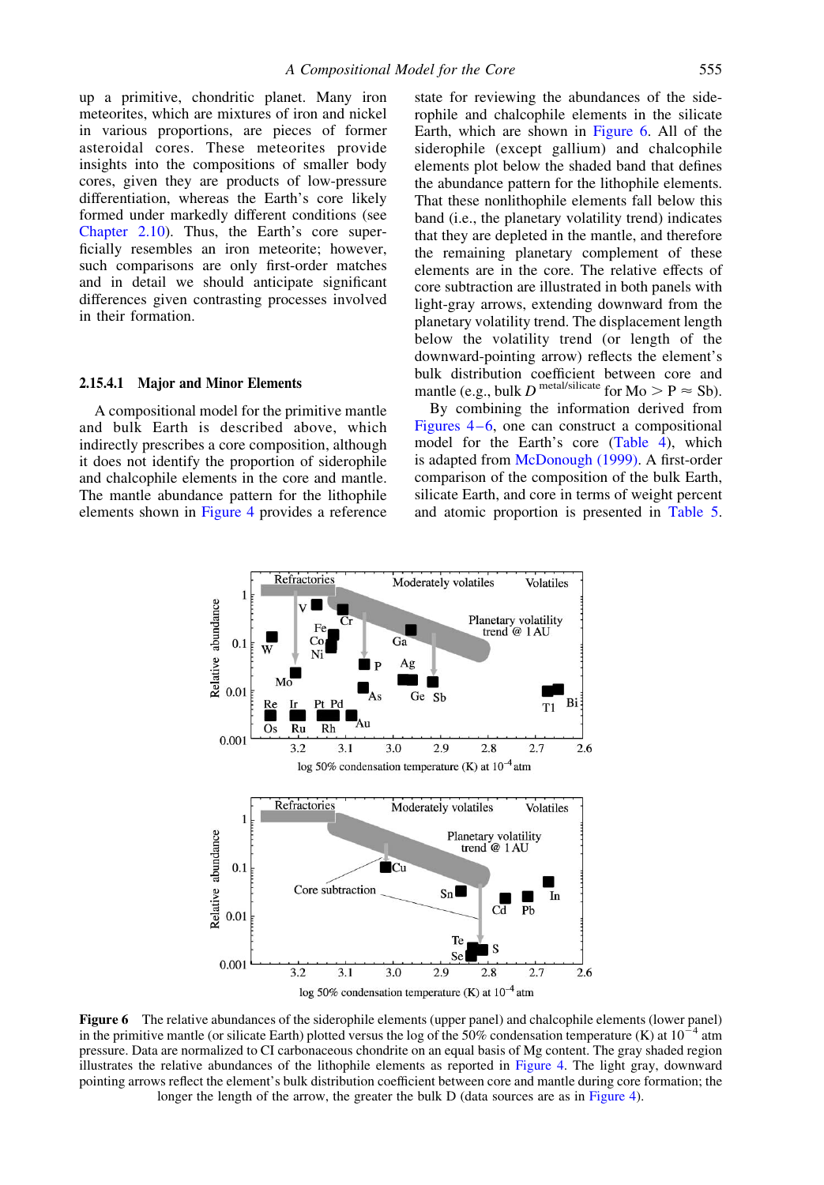<span id="page-8-0"></span>up a primitive, chondritic planet. Many iron meteorites, which are mixtures of iron and nickel in various proportions, are pieces of former asteroidal cores. These meteorites provide insights into the compositions of smaller body cores, given they are products of low-pressure differentiation, whereas the Earth's core likely formed under markedly different conditions (see Chapter 2.10). Thus, the Earth's core superficially resembles an iron meteorite; however, such comparisons are only first-order matches and in detail we should anticipate significant differences given contrasting processes involved in their formation.

#### 2.15.4.1 Major and Minor Elements

A compositional model for the primitive mantle and bulk Earth is described above, which indirectly prescribes a core composition, although it does not identify the proportion of siderophile and chalcophile elements in the core and mantle. The mantle abundance pattern for the lithophile elements shown in [Figure 4](#page-6-0) provides a reference

state for reviewing the abundances of the siderophile and chalcophile elements in the silicate Earth, which are shown in Figure 6. All of the siderophile (except gallium) and chalcophile elements plot below the shaded band that defines the abundance pattern for the lithophile elements. That these nonlithophile elements fall below this band (i.e., the planetary volatility trend) indicates that they are depleted in the mantle, and therefore the remaining planetary complement of these elements are in the core. The relative effects of core subtraction are illustrated in both panels with light-gray arrows, extending downward from the planetary volatility trend. The displacement length below the volatility trend (or length of the downward-pointing arrow) reflects the element's bulk distribution coefficient between core and mantle (e.g., bulk D<sup>metal/silicate</sup> for Mo  $> P \approx Sb$ ).

By combining the information derived from [Figures 4–6,](#page-6-0) one can construct a compositional model for the Earth's core [\(Table 4](#page-9-0)), which is adapted from [McDonough \(1999\).](#page-20-0) A first-order comparison of the composition of the bulk Earth, silicate Earth, and core in terms of weight percent and atomic proportion is presented in [Table 5](#page-9-0).



Figure 6 The relative abundances of the siderophile elements (upper panel) and chalcophile elements (lower panel) in the primitive mantle (or silicate Earth) plotted versus the log of the 50% condensation temperature (K) at  $10^{-4}$  atm pressure. Data are normalized to CI carbonaceous chondrite on an equal basis of Mg content. The gray shaded region illustrates the relative abundances of the lithophile elements as reported in [Figure 4.](#page-6-0) The light gray, downward pointing arrows reflect the element's bulk distribution coefficient between core and mantle during core formation; the longer the length of the arrow, the greater the bulk D (data sources are as in [Figure 4\)](#page-6-0).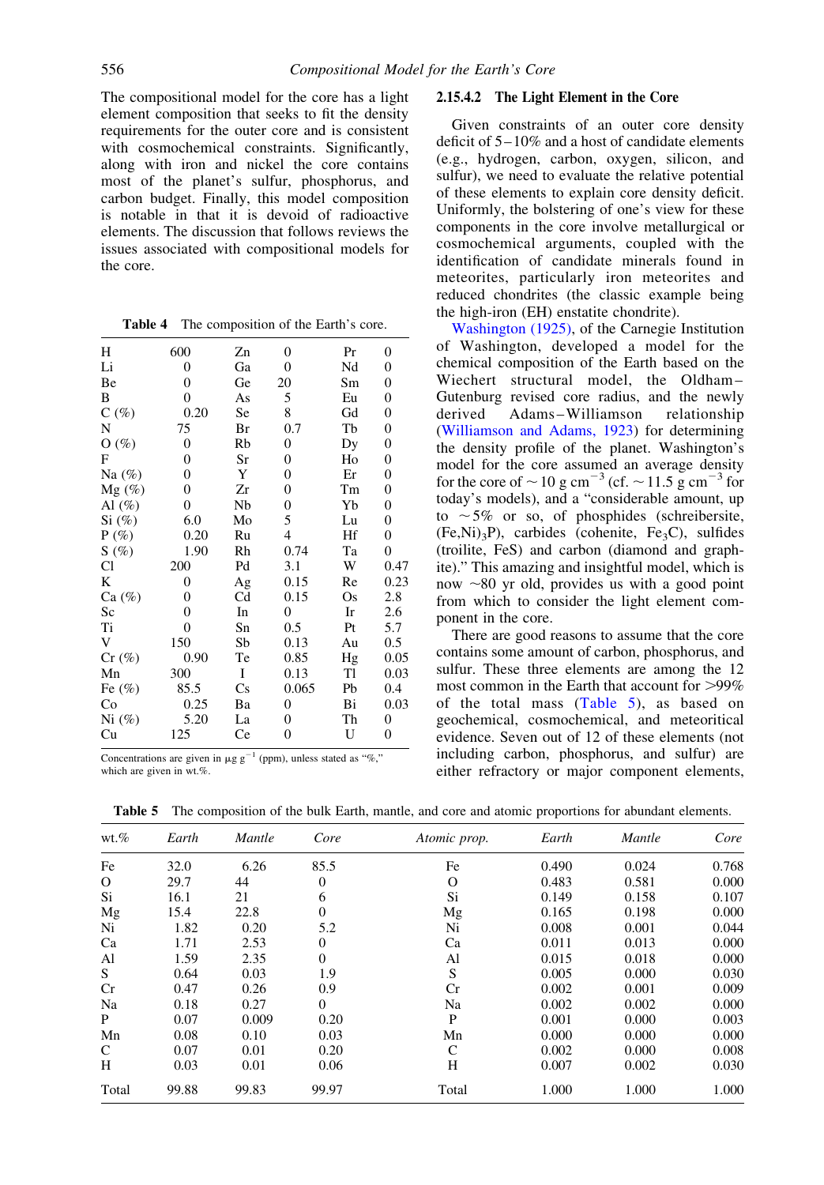<span id="page-9-0"></span>The compositional model for the core has a light element composition that seeks to fit the density requirements for the outer core and is consistent with cosmochemical constraints. Significantly, along with iron and nickel the core contains most of the planet's sulfur, phosphorus, and carbon budget. Finally, this model composition is notable in that it is devoid of radioactive elements. The discussion that follows reviews the issues associated with compositional models for the core.

Table 4 The composition of the Earth's core.

| 600            | Zn                     | 0                | Pr | 0                |
|----------------|------------------------|------------------|----|------------------|
| 0              | Ga                     | $\boldsymbol{0}$ | Nd | 0                |
| $\overline{0}$ | Ge                     | 20               | Sm | 0                |
| $\theta$       | As                     | 5                | Eu | 0                |
| 0.20           | Se                     | 8                | Gd | $\mathbf{0}$     |
| 75             | Br                     | 0.7              | Tb | $\boldsymbol{0}$ |
| 0              | Rb                     | $\boldsymbol{0}$ |    | $\boldsymbol{0}$ |
| 0              | Sr                     | 0                | Ho | $\boldsymbol{0}$ |
| $\overline{0}$ | Y                      | 0                | Er | 0                |
| $\overline{0}$ | Zr                     | 0                | Tm | $\boldsymbol{0}$ |
| $\theta$       | Nb                     | $\boldsymbol{0}$ | Yb | 0                |
| 6.0            | Mo                     | 5                | Lu | 0                |
| 0.20           | Ru                     | 4                | Hf | 0                |
| 1.90           | Rh                     | 0.74             | Ta | 0                |
| 200            | Pd                     | 3.1              | W  | 0.47             |
| $\theta$       |                        | 0.15             | Re | 0.23             |
| $\overline{0}$ | $_{\rm Cd}$            | 0.15             | Os | 2.8              |
| $\overline{0}$ | In                     | 0                | Ir | 2.6              |
| $\overline{0}$ | Sn                     | 0.5              | Pt | 5.7              |
| 150            | Sb                     | 0.13             | Au | 0.5              |
| 0.90           | Te                     | 0.85             |    | 0.05             |
| 300            | I                      | 0.13             | Tl | 0.03             |
| 85.5           | $\mathbf{C}\mathbf{s}$ | 0.065            | Pb | 0.4              |
| 0.25           | Ba                     | $\boldsymbol{0}$ | Bi | 0.03             |
| 5.20           | La                     | 0                | Th | 0                |
| 125            | Ce                     | 0                | U  | 0                |
|                |                        | Ag               |    | Dy<br>Hg         |

Concentrations are given in  $\mu$ g g<sup>-1</sup> (ppm), unless stated as "%," which are given in wt.%.

#### 2.15.4.2 The Light Element in the Core

Given constraints of an outer core density deficit of 5–10% and a host of candidate elements (e.g., hydrogen, carbon, oxygen, silicon, and sulfur), we need to evaluate the relative potential of these elements to explain core density deficit. Uniformly, the bolstering of one's view for these components in the core involve metallurgical or cosmochemical arguments, coupled with the identification of candidate minerals found in meteorites, particularly iron meteorites and reduced chondrites (the classic example being the high-iron (EH) enstatite chondrite).

[Washington \(1925\),](#page-21-0) of the Carnegie Institution of Washington, developed a model for the chemical composition of the Earth based on the Wiechert structural model, the Oldham– Gutenburg revised core radius, and the newly derived Adams–Williamson relationship [\(Williamson and Adams, 1923](#page-21-0)) for determining the density profile of the planet. Washington's model for the core assumed an average density for the core of  $\sim$  10 g cm<sup>-3</sup> (cf.  $\sim$  11.5 g cm<sup>-3</sup> for today's models), and a "considerable amount, up to  $\sim$  5% or so, of phosphides (schreibersite,  $(Fe,Ni)<sub>3</sub>P$ , carbides (cohenite, Fe<sub>3</sub>C), sulfides (troilite, FeS) and carbon (diamond and graphite)." This amazing and insightful model, which is now  $\sim$ 80 yr old, provides us with a good point from which to consider the light element component in the core.

There are good reasons to assume that the core contains some amount of carbon, phosphorus, and sulfur. These three elements are among the 12 most common in the Earth that account for  $>99\%$ of the total mass (Table 5), as based on geochemical, cosmochemical, and meteoritical evidence. Seven out of 12 of these elements (not including carbon, phosphorus, and sulfur) are either refractory or major component elements,

Table 5 The composition of the bulk Earth, mantle, and core and atomic proportions for abundant elements.

| $wt.\%$      | Earth | Mantle | Core         | Atomic prop. | Earth | Mantle | Core  |
|--------------|-------|--------|--------------|--------------|-------|--------|-------|
| Fe           | 32.0  | 6.26   | 85.5         | Fe           | 0.490 | 0.024  | 0.768 |
| $\mathbf{O}$ | 29.7  | 44     | $\mathbf{0}$ | $\Omega$     | 0.483 | 0.581  | 0.000 |
| Si.          | 16.1  | 21     | 6            | Si           | 0.149 | 0.158  | 0.107 |
| Mg           | 15.4  | 22.8   | $\Omega$     | Mg           | 0.165 | 0.198  | 0.000 |
| Ni           | 1.82  | 0.20   | 5.2          | Ni           | 0.008 | 0.001  | 0.044 |
| Ca           | 1.71  | 2.53   | $\theta$     | Ca           | 0.011 | 0.013  | 0.000 |
| Al           | 1.59  | 2.35   | $\Omega$     | Al           | 0.015 | 0.018  | 0.000 |
| S            | 0.64  | 0.03   | 1.9          | S            | 0.005 | 0.000  | 0.030 |
| Cr           | 0.47  | 0.26   | 0.9          | Cr           | 0.002 | 0.001  | 0.009 |
| Na           | 0.18  | 0.27   | $\Omega$     | Na           | 0.002 | 0.002  | 0.000 |
| P            | 0.07  | 0.009  | 0.20         | P            | 0.001 | 0.000  | 0.003 |
| Mn           | 0.08  | 0.10   | 0.03         | Mn           | 0.000 | 0.000  | 0.000 |
| C            | 0.07  | 0.01   | 0.20         | C            | 0.002 | 0.000  | 0.008 |
| H            | 0.03  | 0.01   | 0.06         | H            | 0.007 | 0.002  | 0.030 |
| Total        | 99.88 | 99.83  | 99.97        | Total        | 1.000 | 1.000  | 1.000 |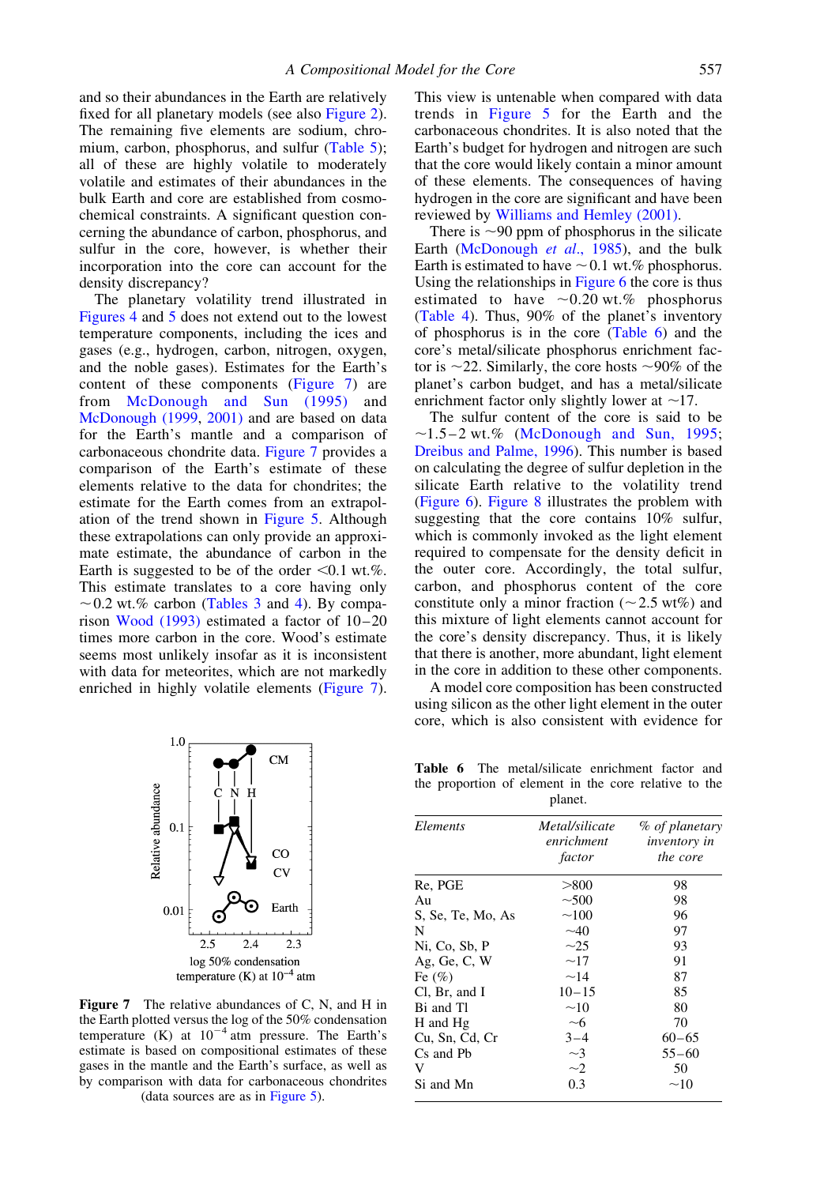<span id="page-10-0"></span>and so their abundances in the Earth are relatively fixed for all planetary models (see also [Figure 2\)](#page-2-0). The remaining five elements are sodium, chro-mium, carbon, phosphorus, and sulfur [\(Table 5\)](#page-9-0); all of these are highly volatile to moderately volatile and estimates of their abundances in the bulk Earth and core are established from cosmochemical constraints. A significant question concerning the abundance of carbon, phosphorus, and sulfur in the core, however, is whether their incorporation into the core can account for the density discrepancy?

The planetary volatility trend illustrated in [Figures 4](#page-6-0) and [5](#page-7-0) does not extend out to the lowest temperature components, including the ices and gases (e.g., hydrogen, carbon, nitrogen, oxygen, and the noble gases). Estimates for the Earth's content of these components (Figure 7) are from [McDonough and Sun \(1995\)](#page-20-0) and [McDonough \(1999,](#page-20-0) [2001\)](#page-20-0) and are based on data for the Earth's mantle and a comparison of carbonaceous chondrite data. Figure 7 provides a comparison of the Earth's estimate of these elements relative to the data for chondrites; the estimate for the Earth comes from an extrapolation of the trend shown in [Figure 5](#page-7-0). Although these extrapolations can only provide an approximate estimate, the abundance of carbon in the Earth is suggested to be of the order  $\leq 0.1$  wt.%. This estimate translates to a core having only  $\sim$  0.2 wt.% carbon ([Tables 3](#page-7-0) and [4\)](#page-9-0). By comparison [Wood \(1993\)](#page-21-0) estimated a factor of 10–20 times more carbon in the core. Wood's estimate seems most unlikely insofar as it is inconsistent with data for meteorites, which are not markedly enriched in highly volatile elements (Figure 7).



Figure 7 The relative abundances of C, N, and H in the Earth plotted versus the log of the 50% condensation temperature (K) at  $10^{-4}$  atm pressure. The Earth's estimate is based on compositional estimates of these gases in the mantle and the Earth's surface, as well as by comparison with data for carbonaceous chondrites (data sources are as in [Figure 5](#page-7-0)).

This view is untenable when compared with data trends in [Figure 5](#page-7-0) for the Earth and the carbonaceous chondrites. It is also noted that the Earth's budget for hydrogen and nitrogen are such that the core would likely contain a minor amount of these elements. The consequences of having hydrogen in the core are significant and have been reviewed by [Williams and Hemley \(2001\).](#page-21-0)

There is  $\sim$ 90 ppm of phosphorus in the silicate Earth ([McDonough](#page-20-0) et al., 1985), and the bulk Earth is estimated to have  $\sim 0.1$  wt.% phosphorus. Using the relationships in [Figure 6](#page-8-0) the core is thus estimated to have  $\sim 0.20$  wt.% phosphorus [\(Table 4](#page-9-0)). Thus, 90% of the planet's inventory of phosphorus is in the core (Table 6) and the core's metal/silicate phosphorus enrichment factor is  $\sim$ 22. Similarly, the core hosts  $\sim$ 90% of the planet's carbon budget, and has a metal/silicate enrichment factor only slightly lower at  $\sim$ 17.

The sulfur content of the core is said to be  $\sim$ 1.5–2 wt.% [\(McDonough and Sun, 1995](#page-20-0); [Dreibus and Palme, 1996](#page-19-0)). This number is based on calculating the degree of sulfur depletion in the silicate Earth relative to the volatility trend [\(Figure 6\)](#page-8-0). [Figure 8](#page-11-0) illustrates the problem with suggesting that the core contains 10% sulfur, which is commonly invoked as the light element required to compensate for the density deficit in the outer core. Accordingly, the total sulfur, carbon, and phosphorus content of the core constitute only a minor fraction ( $\sim$  2.5 wt%) and this mixture of light elements cannot account for the core's density discrepancy. Thus, it is likely that there is another, more abundant, light element in the core in addition to these other components.

A model core composition has been constructed using silicon as the other light element in the outer core, which is also consistent with evidence for

Table 6 The metal/silicate enrichment factor and the proportion of element in the core relative to the planet.

| Elements          | Metal/silicate<br>enrichment<br>factor | % of planetary<br><i>inventory in</i><br>the core |
|-------------------|----------------------------------------|---------------------------------------------------|
| Re, PGE           | > 800                                  | 98                                                |
| Au                | $\sim$ 500                             | 98                                                |
| S, Se, Te, Mo, As | $\sim$ 100                             | 96                                                |
| N                 | $\sim$ 40                              | 97                                                |
| Ni, Co, Sb, P     | $\sim$ 25                              | 93                                                |
| Ag, Ge, C, W      | ~17                                    | 91                                                |
| Fe $(\%)$         | ~14                                    | 87                                                |
| Cl, Br, and I     | $10 - 15$                              | 85                                                |
| Bi and Tl         | ~10                                    | 80                                                |
| H and Hg          | $~\sim$ 6                              | 70                                                |
| Cu, Sn, Cd, Cr    | $3 - 4$                                | $60 - 65$                                         |
| Cs and Pb         | $\sim$ 3                               | $55 - 60$                                         |
| V                 | $\sim$                                 | 50                                                |
| Si and Mn         | 0.3                                    | ~10                                               |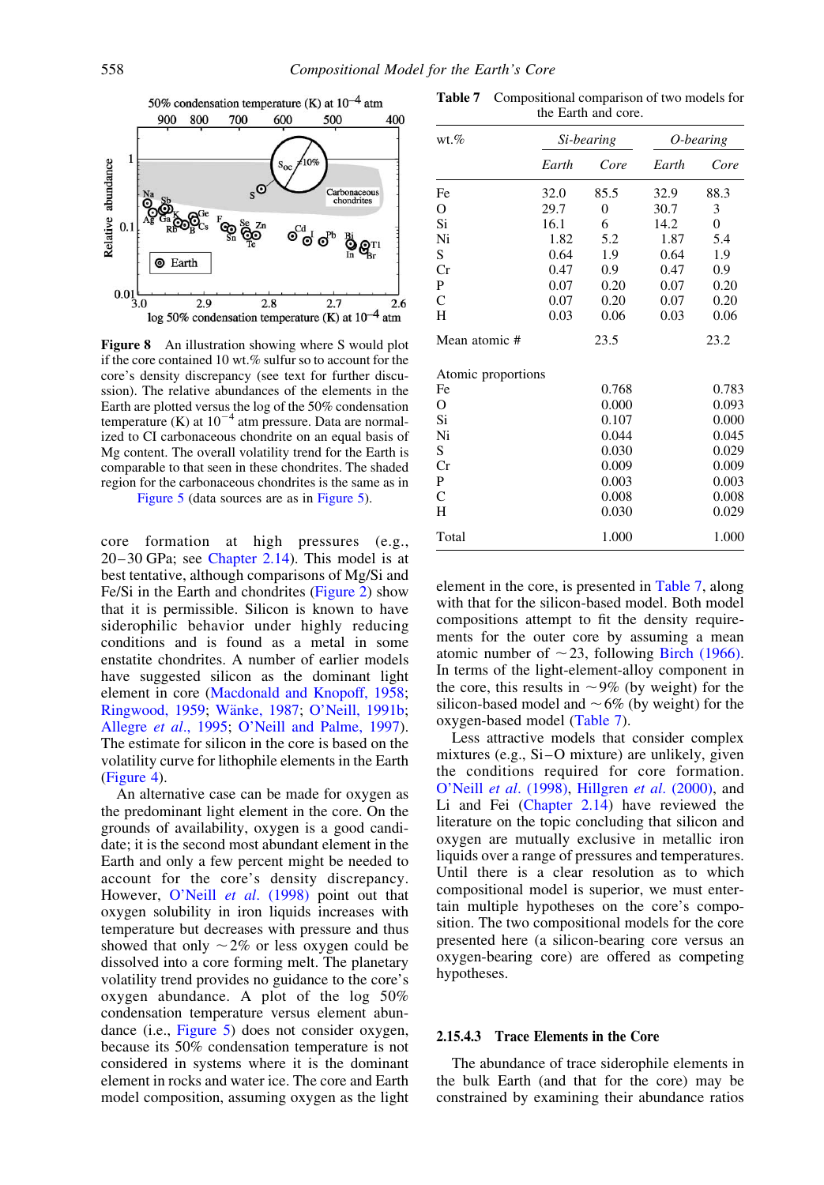<span id="page-11-0"></span>

Figure 8 An illustration showing where S would plot if the core contained 10 wt.% sulfur so to account for the core's density discrepancy (see text for further discussion). The relative abundances of the elements in the Earth are plotted versus the log of the 50% condensation temperature (K) at  $10^{-4}$  atm pressure. Data are normalized to CI carbonaceous chondrite on an equal basis of Mg content. The overall volatility trend for the Earth is comparable to that seen in these chondrites. The shaded region for the carbonaceous chondrites is the same as in

[Figure 5](#page-7-0) (data sources are as in [Figure 5](#page-7-0)).

core formation at high pressures (e.g., 20–30 GPa; see Chapter 2.14). This model is at best tentative, although comparisons of Mg/Si and Fe/Si in the Earth and chondrites ([Figure 2\)](#page-2-0) show that it is permissible. Silicon is known to have siderophilic behavior under highly reducing conditions and is found as a metal in some enstatite chondrites. A number of earlier models have suggested silicon as the dominant light element in core ([Macdonald and Knopoff, 1958](#page-20-0); [Ringwood, 1959;](#page-20-0) Wänke, 1987; [O'Neill, 1991b](#page-20-0); [Allegre](#page-19-0) et al., 1995; [O'Neill and Palme, 1997](#page-20-0)). The estimate for silicon in the core is based on the volatility curve for lithophile elements in the Earth [\(Figure 4](#page-6-0)).

An alternative case can be made for oxygen as the predominant light element in the core. On the grounds of availability, oxygen is a good candidate; it is the second most abundant element in the Earth and only a few percent might be needed to account for the core's density discrepancy. However, O'Neill *et al.* (1998) point out that oxygen solubility in iron liquids increases with temperature but decreases with pressure and thus showed that only  $\sim$  2% or less oxygen could be dissolved into a core forming melt. The planetary volatility trend provides no guidance to the core's oxygen abundance. A plot of the log 50% condensation temperature versus element abundance (i.e., [Figure 5](#page-7-0)) does not consider oxygen, because its 50% condensation temperature is not considered in systems where it is the dominant element in rocks and water ice. The core and Earth model composition, assuming oxygen as the light

| <b>Table 7</b> Compositional comparison of two models for |
|-----------------------------------------------------------|
| the Earth and core.                                       |

| wt. $%$            | Si-bearing |       |       | O-bearing |  |
|--------------------|------------|-------|-------|-----------|--|
|                    | Earth      | Core  | Earth | Core      |  |
| Fe                 | 32.0       | 85.5  | 32.9  | 88.3      |  |
| O                  | 29.7       | 0     | 30.7  | 3         |  |
| Si                 | 16.1       | 6     | 14.2  | $\theta$  |  |
| Ni                 | 1.82       | 5.2   | 1.87  | 5.4       |  |
| S                  | 0.64       | 1.9   | 0.64  | 1.9       |  |
| Cr                 | 0.47       | 0.9   | 0.47  | 0.9       |  |
| P                  | 0.07       | 0.20  | 0.07  | 0.20      |  |
| $\mathcal{C}$      | 0.07       | 0.20  | 0.07  | 0.20      |  |
| H                  | 0.03       | 0.06  | 0.03  | 0.06      |  |
| Mean atomic #      |            | 23.5  |       | 23.2      |  |
| Atomic proportions |            |       |       |           |  |
| Fe                 |            | 0.768 |       | 0.783     |  |
| O                  |            | 0.000 |       | 0.093     |  |
| Si                 |            | 0.107 |       | 0.000     |  |
| Ni                 |            | 0.044 |       | 0.045     |  |
| S                  |            | 0.030 |       | 0.029     |  |
| Cr                 |            | 0.009 |       | 0.009     |  |
| P                  |            | 0.003 |       | 0.003     |  |
| $\mathsf{C}$       |            | 0.008 |       | 0.008     |  |
| H                  |            | 0.030 |       | 0.029     |  |
| Total              |            | 1.000 |       | 1.000     |  |

element in the core, is presented in Table 7, along with that for the silicon-based model. Both model compositions attempt to fit the density requirements for the outer core by assuming a mean atomic number of  $\sim$  23, following [Birch \(1966\).](#page-19-0) In terms of the light-element-alloy component in the core, this results in  $\sim$ 9% (by weight) for the silicon-based model and  $\sim6\%$  (by weight) for the oxygen-based model (Table 7).

Less attractive models that consider complex mixtures (e.g., Si–O mixture) are unlikely, given the conditions required for core formation. O'Neill et al[. \(1998\)](#page-20-0), [Hillgren](#page-20-0) et al. (2000), and Li and Fei (Chapter 2.14) have reviewed the literature on the topic concluding that silicon and oxygen are mutually exclusive in metallic iron liquids over a range of pressures and temperatures. Until there is a clear resolution as to which compositional model is superior, we must entertain multiple hypotheses on the core's composition. The two compositional models for the core presented here (a silicon-bearing core versus an oxygen-bearing core) are offered as competing hypotheses.

#### 2.15.4.3 Trace Elements in the Core

The abundance of trace siderophile elements in the bulk Earth (and that for the core) may be constrained by examining their abundance ratios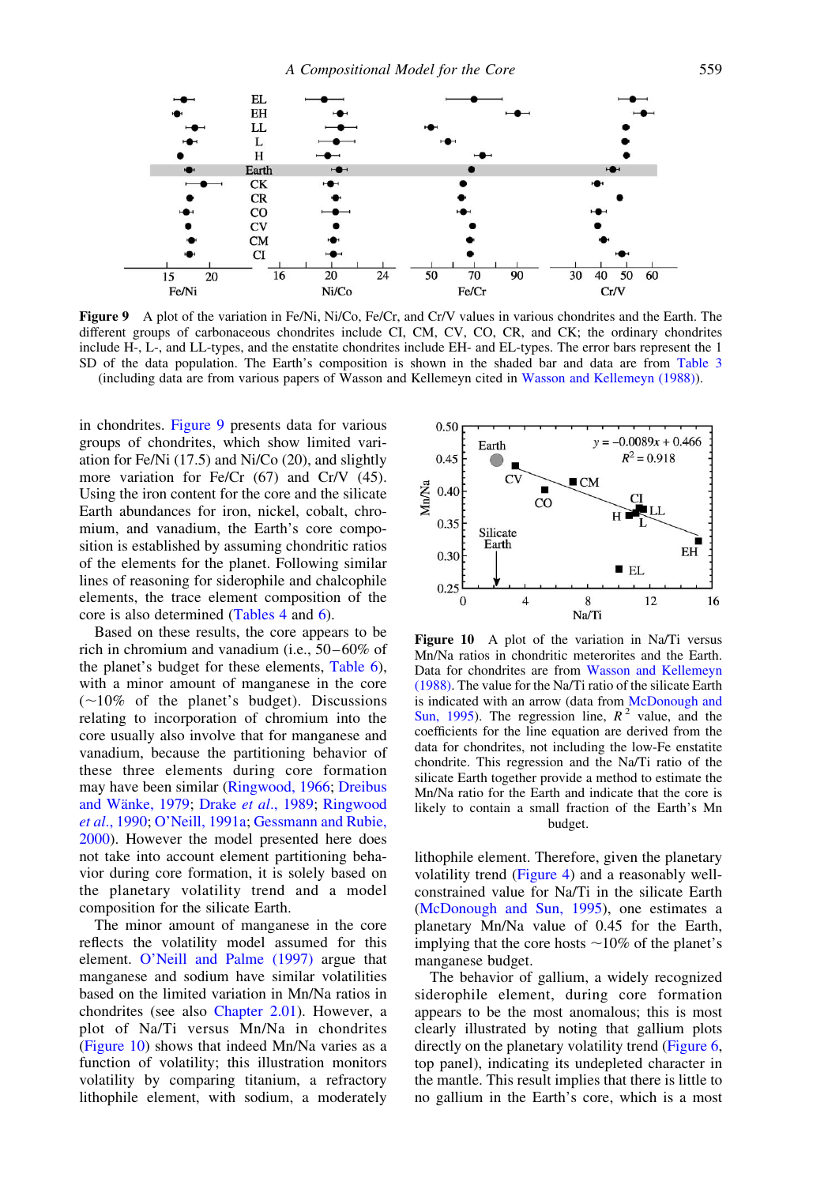

Figure 9 A plot of the variation in Fe/Ni, Ni/Co, Fe/Cr, and Cr/V values in various chondrites and the Earth. The different groups of carbonaceous chondrites include CI, CM, CV, CO, CR, and CK; the ordinary chondrites include H-, L-, and LL-types, and the enstatite chondrites include EH- and EL-types. The error bars represent the 1 SD of the data population. The Earth's composition is shown in the shaded bar and data are from [Table 3](#page-7-0) (including data are from various papers of Wasson and Kellemeyn cited in [Wasson and Kellemeyn \(1988\)](#page-21-0)).

in chondrites. Figure 9 presents data for various groups of chondrites, which show limited variation for Fe/Ni (17.5) and Ni/Co (20), and slightly more variation for Fe/Cr (67) and Cr/V (45). Using the iron content for the core and the silicate Earth abundances for iron, nickel, cobalt, chromium, and vanadium, the Earth's core composition is established by assuming chondritic ratios of the elements for the planet. Following similar lines of reasoning for siderophile and chalcophile elements, the trace element composition of the core is also determined ([Tables 4](#page-9-0) and [6](#page-10-0)).

Based on these results, the core appears to be rich in chromium and vanadium (i.e., 50–60% of the planet's budget for these elements, [Table 6\)](#page-10-0), with a minor amount of manganese in the core  $(\sim)10\%$  of the planet's budget). Discussions relating to incorporation of chromium into the core usually also involve that for manganese and vanadium, because the partitioning behavior of these three elements during core formation may have been similar [\(Ringwood, 1966;](#page-21-0) [Dreibus](#page-19-0) and Wänke, 1979; Drake et al[., 1989](#page-19-0); [Ringwood](#page-21-0) et al[., 1990;](#page-21-0) [O'Neill, 1991a](#page-20-0); [Gessmann and Rubie,](#page-19-0) [2000\)](#page-19-0). However the model presented here does not take into account element partitioning behavior during core formation, it is solely based on the planetary volatility trend and a model composition for the silicate Earth.

The minor amount of manganese in the core reflects the volatility model assumed for this element. [O'Neill and Palme \(1997\)](#page-20-0) argue that manganese and sodium have similar volatilities based on the limited variation in Mn/Na ratios in chondrites (see also Chapter 2.01). However, a plot of Na/Ti versus Mn/Na in chondrites (Figure 10) shows that indeed Mn/Na varies as a function of volatility; this illustration monitors volatility by comparing titanium, a refractory lithophile element, with sodium, a moderately



Figure 10 A plot of the variation in Na/Ti versus Mn/Na ratios in chondritic meterorites and the Earth. Data for chondrites are from [Wasson and Kellemeyn](#page-21-0) [\(1988\).](#page-21-0) The value for the Na/Ti ratio of the silicate Earth is indicated with an arrow (data from [McDonough and](#page-20-0) [Sun, 1995\)](#page-20-0). The regression line,  $R^2$  value, and the coefficients for the line equation are derived from the data for chondrites, not including the low-Fe enstatite chondrite. This regression and the Na/Ti ratio of the silicate Earth together provide a method to estimate the Mn/Na ratio for the Earth and indicate that the core is likely to contain a small fraction of the Earth's Mn budget.

lithophile element. Therefore, given the planetary volatility trend [\(Figure 4\)](#page-6-0) and a reasonably wellconstrained value for Na/Ti in the silicate Earth [\(McDonough and Sun, 1995\)](#page-20-0), one estimates a planetary Mn/Na value of 0.45 for the Earth, implying that the core hosts  $\sim$ 10% of the planet's manganese budget.

The behavior of gallium, a widely recognized siderophile element, during core formation appears to be the most anomalous; this is most clearly illustrated by noting that gallium plots directly on the planetary volatility trend [\(Figure 6](#page-8-0), top panel), indicating its undepleted character in the mantle. This result implies that there is little to no gallium in the Earth's core, which is a most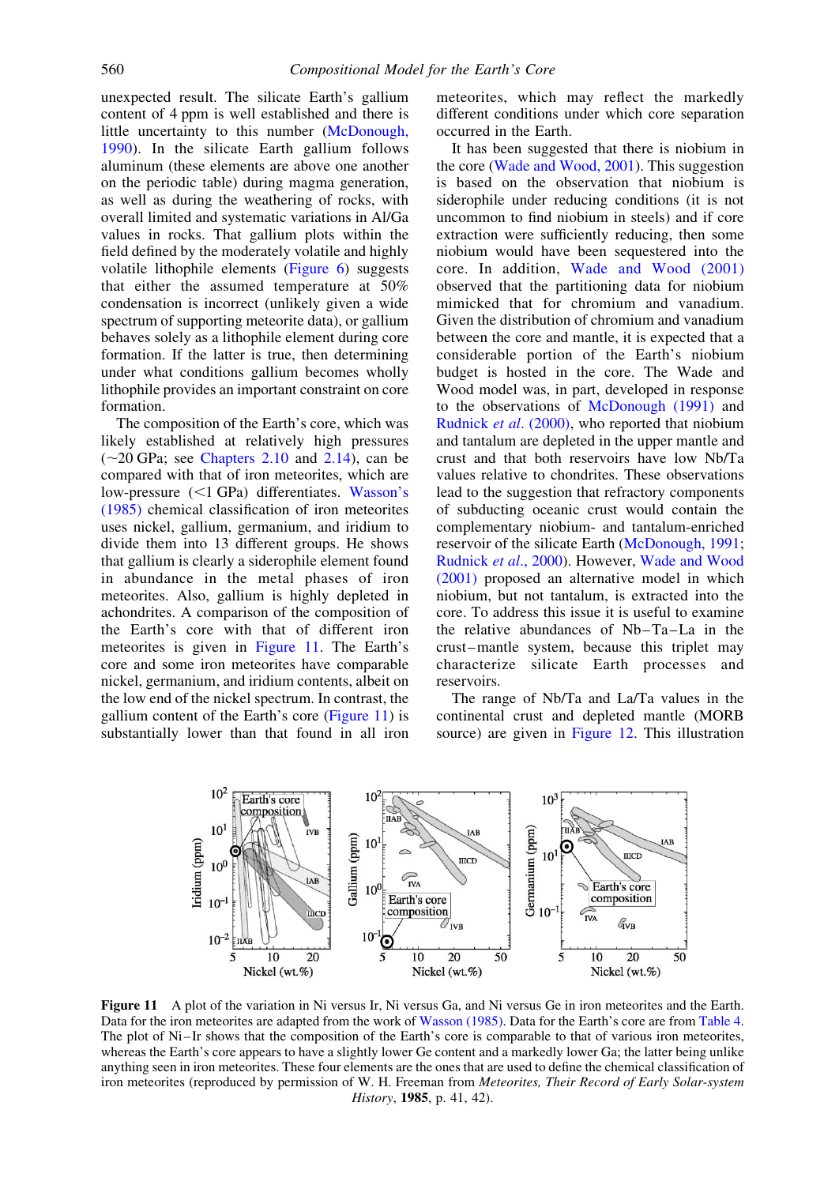unexpected result. The silicate Earth's gallium content of 4 ppm is well established and there is little uncertainty to this number [\(McDonough,](#page-20-0) [1990](#page-20-0)). In the silicate Earth gallium follows aluminum (these elements are above one another on the periodic table) during magma generation, as well as during the weathering of rocks, with overall limited and systematic variations in Al/Ga values in rocks. That gallium plots within the field defined by the moderately volatile and highly volatile lithophile elements [\(Figure 6\)](#page-8-0) suggests that either the assumed temperature at 50% condensation is incorrect (unlikely given a wide spectrum of supporting meteorite data), or gallium behaves solely as a lithophile element during core formation. If the latter is true, then determining under what conditions gallium becomes wholly lithophile provides an important constraint on core formation.

The composition of the Earth's core, which was likely established at relatively high pressures  $(\sim 20 \text{ GPa}; \text{ see Chapters } 2.10 \text{ and } 2.14)$ , can be compared with that of iron meteorites, which are low-pressure  $(<1$  GPa) differentiates. [Wasson's](#page-21-0) [\(1985\)](#page-21-0) chemical classification of iron meteorites uses nickel, gallium, germanium, and iridium to divide them into 13 different groups. He shows that gallium is clearly a siderophile element found in abundance in the metal phases of iron meteorites. Also, gallium is highly depleted in achondrites. A comparison of the composition of the Earth's core with that of different iron meteorites is given in Figure 11. The Earth's core and some iron meteorites have comparable nickel, germanium, and iridium contents, albeit on the low end of the nickel spectrum. In contrast, the gallium content of the Earth's core (Figure 11) is substantially lower than that found in all iron meteorites, which may reflect the markedly different conditions under which core separation occurred in the Earth.

It has been suggested that there is niobium in the core [\(Wade and Wood, 2001](#page-21-0)). This suggestion is based on the observation that niobium is siderophile under reducing conditions (it is not uncommon to find niobium in steels) and if core extraction were sufficiently reducing, then some niobium would have been sequestered into the core. In addition, [Wade and Wood \(2001\)](#page-21-0) observed that the partitioning data for niobium mimicked that for chromium and vanadium. Given the distribution of chromium and vanadium between the core and mantle, it is expected that a considerable portion of the Earth's niobium budget is hosted in the core. The Wade and Wood model was, in part, developed in response to the observations of [McDonough \(1991\)](#page-20-0) and [Rudnick](#page-21-0) et al. (2000), who reported that niobium and tantalum are depleted in the upper mantle and crust and that both reservoirs have low Nb/Ta values relative to chondrites. These observations lead to the suggestion that refractory components of subducting oceanic crust would contain the complementary niobium- and tantalum-enriched reservoir of the silicate Earth [\(McDonough, 1991](#page-20-0); [Rudnick](#page-21-0) et al., 2000). However, [Wade and Wood](#page-21-0) [\(2001\)](#page-21-0) proposed an alternative model in which niobium, but not tantalum, is extracted into the core. To address this issue it is useful to examine the relative abundances of Nb–Ta–La in the crust–mantle system, because this triplet may characterize silicate Earth processes and reservoirs.

The range of Nb/Ta and La/Ta values in the continental crust and depleted mantle (MORB source) are given in [Figure 12](#page-14-0). This illustration



Figure 11 A plot of the variation in Ni versus Ir, Ni versus Ga, and Ni versus Ge in iron meteorites and the Earth. Data for the iron meteorites are adapted from the work of [Wasson \(1985\)](#page-21-0). Data for the Earth's core are from [Table 4.](#page-9-0) The plot of Ni–Ir shows that the composition of the Earth's core is comparable to that of various iron meteorites, whereas the Earth's core appears to have a slightly lower Ge content and a markedly lower Ga; the latter being unlike anything seen in iron meteorites. These four elements are the ones that are used to define the chemical classification of iron meteorites (reproduced by permission of W. H. Freeman from Meteorites, Their Record of Early Solar-system History, 1985, p. 41, 42).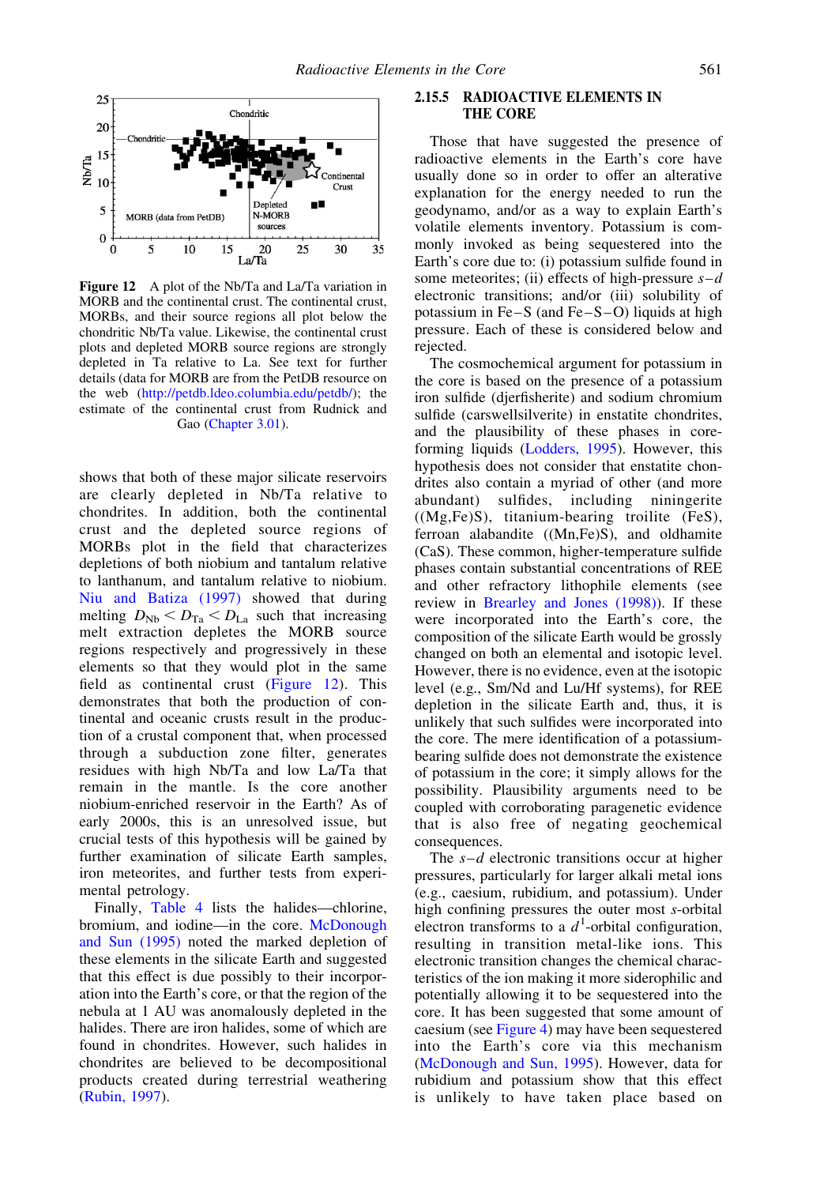<span id="page-14-0"></span>

Figure 12 A plot of the Nb/Ta and La/Ta variation in MORB and the continental crust. The continental crust, MORBs, and their source regions all plot below the chondritic Nb/Ta value. Likewise, the continental crust plots and depleted MORB source regions are strongly depleted in Ta relative to La. See text for further details (data for MORB are from the PetDB resource on the web [\(http://petdb.ldeo.columbia.edu/petdb/](http://petdb.ldeo.columbia.edu/petdb/)); the estimate of the continental crust from Rudnick and Gao (Chapter 3.01).

shows that both of these major silicate reservoirs are clearly depleted in Nb/Ta relative to chondrites. In addition, both the continental crust and the depleted source regions of MORBs plot in the field that characterizes depletions of both niobium and tantalum relative to lanthanum, and tantalum relative to niobium. [Niu and Batiza \(1997\)](#page-20-0) showed that during melting  $D_{Nb} < D_{Ta} < D_{La}$  such that increasing melt extraction depletes the MORB source regions respectively and progressively in these elements so that they would plot in the same field as continental crust (Figure 12). This demonstrates that both the production of continental and oceanic crusts result in the production of a crustal component that, when processed through a subduction zone filter, generates residues with high Nb/Ta and low La/Ta that remain in the mantle. Is the core another niobium-enriched reservoir in the Earth? As of early 2000s, this is an unresolved issue, but crucial tests of this hypothesis will be gained by further examination of silicate Earth samples, iron meteorites, and further tests from experimental petrology.

Finally, [Table 4](#page-9-0) lists the halides—chlorine, bromium, and iodine—in the core. [McDonough](#page-20-0) [and Sun \(1995\)](#page-20-0) noted the marked depletion of these elements in the silicate Earth and suggested that this effect is due possibly to their incorporation into the Earth's core, or that the region of the nebula at 1 AU was anomalously depleted in the halides. There are iron halides, some of which are found in chondrites. However, such halides in chondrites are believed to be decompositional products created during terrestrial weathering ([Rubin, 1997\)](#page-21-0).

#### 2.15.5 RADIOACTIVE ELEMENTS IN THE CORE

Those that have suggested the presence of radioactive elements in the Earth's core have usually done so in order to offer an alterative explanation for the energy needed to run the geodynamo, and/or as a way to explain Earth's volatile elements inventory. Potassium is commonly invoked as being sequestered into the Earth's core due to: (i) potassium sulfide found in some meteorites; (ii) effects of high-pressure  $s-d$ electronic transitions; and/or (iii) solubility of potassium in Fe–S (and Fe–S–O) liquids at high pressure. Each of these is considered below and rejected.

The cosmochemical argument for potassium in the core is based on the presence of a potassium iron sulfide (djerfisherite) and sodium chromium sulfide (carswellsilverite) in enstatite chondrites, and the plausibility of these phases in coreforming liquids ([Lodders, 1995](#page-20-0)). However, this hypothesis does not consider that enstatite chondrites also contain a myriad of other (and more abundant) sulfides, including niningerite ((Mg,Fe)S), titanium-bearing troilite (FeS), ferroan alabandite ((Mn,Fe)S), and oldhamite (CaS). These common, higher-temperature sulfide phases contain substantial concentrations of REE and other refractory lithophile elements (see review in [Brearley and Jones \(1998\)](#page-19-0)). If these were incorporated into the Earth's core, the composition of the silicate Earth would be grossly changed on both an elemental and isotopic level. However, there is no evidence, even at the isotopic level (e.g., Sm/Nd and Lu/Hf systems), for REE depletion in the silicate Earth and, thus, it is unlikely that such sulfides were incorporated into the core. The mere identification of a potassiumbearing sulfide does not demonstrate the existence of potassium in the core; it simply allows for the possibility. Plausibility arguments need to be coupled with corroborating paragenetic evidence that is also free of negating geochemical consequences.

The  $s-d$  electronic transitions occur at higher pressures, particularly for larger alkali metal ions (e.g., caesium, rubidium, and potassium). Under high confining pressures the outer most s-orbital electron transforms to a  $d^1$ -orbital configuration, resulting in transition metal-like ions. This electronic transition changes the chemical characteristics of the ion making it more siderophilic and potentially allowing it to be sequestered into the core. It has been suggested that some amount of caesium (see [Figure 4](#page-6-0)) may have been sequestered into the Earth's core via this mechanism [\(McDonough and Sun, 1995](#page-20-0)). However, data for rubidium and potassium show that this effect is unlikely to have taken place based on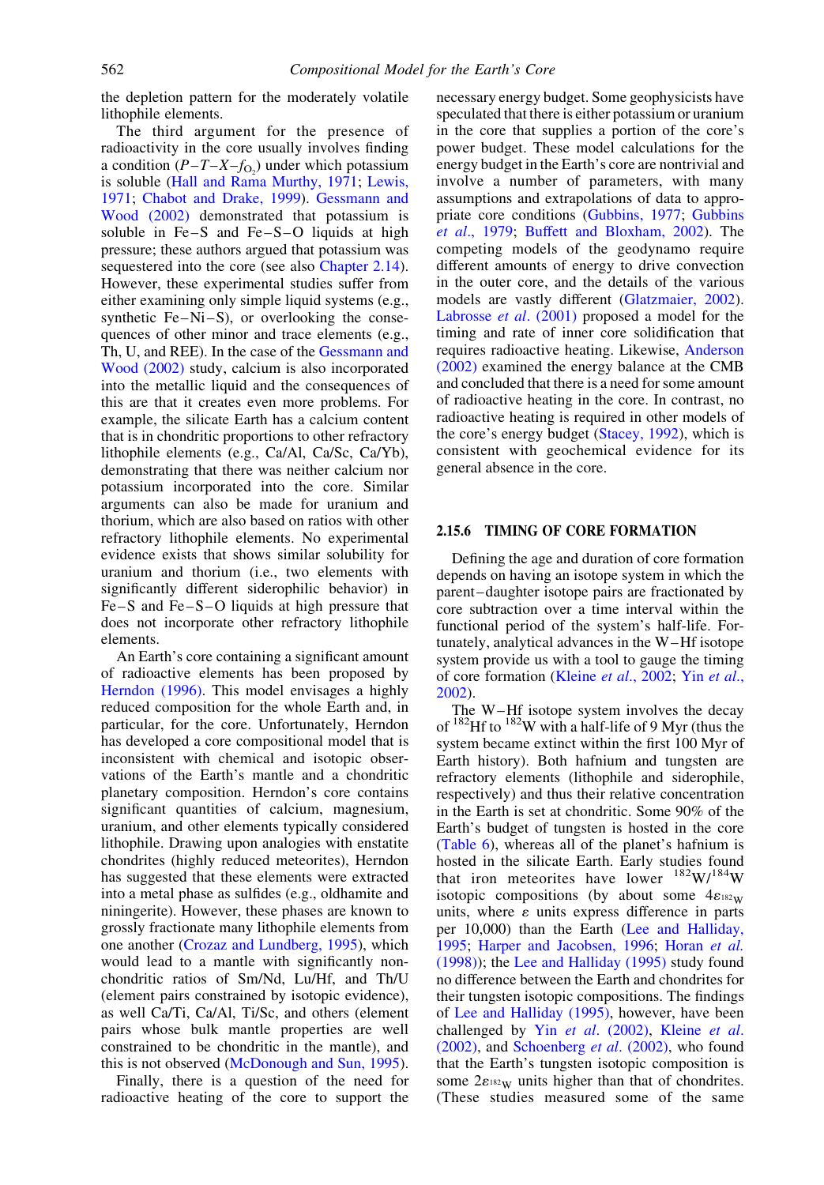the depletion pattern for the moderately volatile lithophile elements.

The third argument for the presence of radioactivity in the core usually involves finding a condition  $(P - T - X - f_{O_2})$  under which potassium is soluble ([Hall and Rama Murthy, 1971;](#page-20-0) [Lewis,](#page-20-0) [1971;](#page-20-0) [Chabot and Drake, 1999\)](#page-19-0). [Gessmann and](#page-19-0) [Wood \(2002\)](#page-19-0) demonstrated that potassium is soluble in Fe–S and Fe–S–O liquids at high pressure; these authors argued that potassium was sequestered into the core (see also Chapter 2.14). However, these experimental studies suffer from either examining only simple liquid systems (e.g., synthetic Fe–Ni–S), or overlooking the consequences of other minor and trace elements (e.g., Th, U, and REE). In the case of the [Gessmann and](#page-19-0) [Wood \(2002\)](#page-19-0) study, calcium is also incorporated into the metallic liquid and the consequences of this are that it creates even more problems. For example, the silicate Earth has a calcium content that is in chondritic proportions to other refractory lithophile elements (e.g., Ca/Al, Ca/Sc, Ca/Yb), demonstrating that there was neither calcium nor potassium incorporated into the core. Similar arguments can also be made for uranium and thorium, which are also based on ratios with other refractory lithophile elements. No experimental evidence exists that shows similar solubility for uranium and thorium (i.e., two elements with significantly different siderophilic behavior) in Fe–S and Fe–S–O liquids at high pressure that does not incorporate other refractory lithophile elements.

An Earth's core containing a significant amount of radioactive elements has been proposed by [Herndon \(1996\)](#page-20-0). This model envisages a highly reduced composition for the whole Earth and, in particular, for the core. Unfortunately, Herndon has developed a core compositional model that is inconsistent with chemical and isotopic observations of the Earth's mantle and a chondritic planetary composition. Herndon's core contains significant quantities of calcium, magnesium, uranium, and other elements typically considered lithophile. Drawing upon analogies with enstatite chondrites (highly reduced meteorites), Herndon has suggested that these elements were extracted into a metal phase as sulfides (e.g., oldhamite and niningerite). However, these phases are known to grossly fractionate many lithophile elements from one another ([Crozaz and Lundberg, 1995\)](#page-19-0), which would lead to a mantle with significantly nonchondritic ratios of Sm/Nd, Lu/Hf, and Th/U (element pairs constrained by isotopic evidence), as well Ca/Ti, Ca/Al, Ti/Sc, and others (element pairs whose bulk mantle properties are well constrained to be chondritic in the mantle), and this is not observed [\(McDonough and Sun, 1995](#page-20-0)).

Finally, there is a question of the need for radioactive heating of the core to support the necessary energy budget. Some geophysicists have speculated that there is either potassium or uranium in the core that supplies a portion of the core's power budget. These model calculations for the energy budget in the Earth's core are nontrivial and involve a number of parameters, with many assumptions and extrapolations of data to appropriate core conditions [\(Gubbins, 1977](#page-20-0); [Gubbins](#page-20-0) et al[., 1979;](#page-20-0) [Buffett and Bloxham, 2002\)](#page-19-0). The competing models of the geodynamo require different amounts of energy to drive convection in the outer core, and the details of the various models are vastly different [\(Glatzmaier, 2002](#page-19-0)). [Labrosse](#page-20-0) *et al.* (2001) proposed a model for the timing and rate of inner core solidification that requires radioactive heating. Likewise, [Anderson](#page-19-0) [\(2002\)](#page-19-0) examined the energy balance at the CMB and concluded that there is a need for some amount of radioactive heating in the core. In contrast, no radioactive heating is required in other models of the core's energy budget ([Stacey, 1992\)](#page-21-0), which is consistent with geochemical evidence for its general absence in the core.

## 2.15.6 TIMING OF CORE FORMATION

Defining the age and duration of core formation depends on having an isotope system in which the parent–daughter isotope pairs are fractionated by core subtraction over a time interval within the functional period of the system's half-life. Fortunately, analytical advances in the W–Hf isotope system provide us with a tool to gauge the timing of core formation (Kleine et al[., 2002](#page-20-0); Yin [et al](#page-21-0)., [2002\)](#page-21-0).

The W–Hf isotope system involves the decay of  $182$ Hf to  $182$ W with a half-life of 9 Myr (thus the system became extinct within the first 100 Myr of Earth history). Both hafnium and tungsten are refractory elements (lithophile and siderophile, respectively) and thus their relative concentration in the Earth is set at chondritic. Some 90% of the Earth's budget of tungsten is hosted in the core [\(Table 6\)](#page-10-0), whereas all of the planet's hafnium is hosted in the silicate Earth. Early studies found that iron meteorites have lower  $182 \text{W}/184 \text{W}$ isotopic compositions (by about some  $4\varepsilon_{182W}$ units, where  $\varepsilon$  units express difference in parts per 10,000) than the Earth ([Lee and Halliday,](#page-20-0) [1995;](#page-20-0) [Harper and Jacobsen, 1996](#page-20-0); [Horan](#page-20-0) et al. [\(1998\)\)](#page-20-0); the [Lee and Halliday \(1995\)](#page-20-0) study found no difference between the Earth and chondrites for their tungsten isotopic compositions. The findings of [Lee and Halliday \(1995\),](#page-20-0) however, have been challenged by Yin et al[. \(2002\)](#page-21-0), [Kleine](#page-20-0) et al.  $(2002)$ , and [Schoenberg](#page-21-0) *et al.*  $(2002)$ , who found that the Earth's tungsten isotopic composition is some  $2\varepsilon_{182W}$  units higher than that of chondrites. (These studies measured some of the same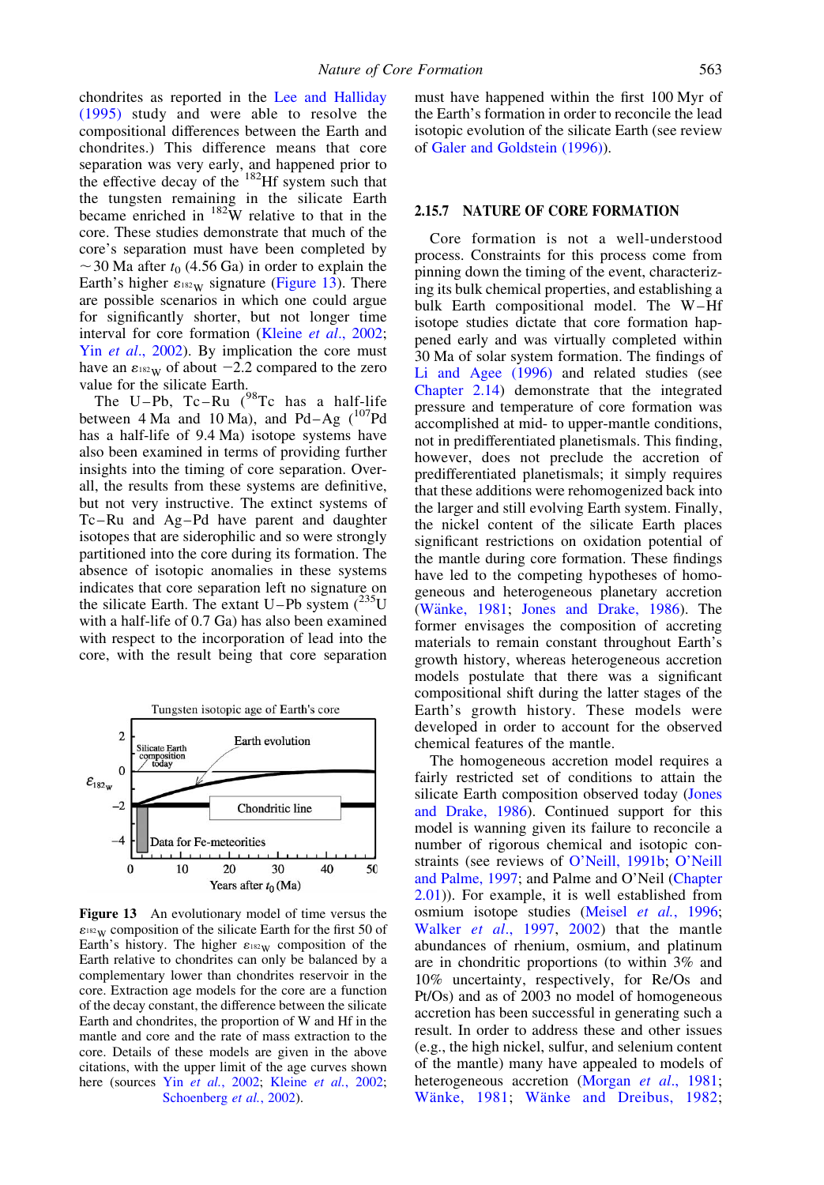chondrites as reported in the [Lee and Halliday](#page-20-0) [\(1995\)](#page-20-0) study and were able to resolve the compositional differences between the Earth and chondrites.) This difference means that core separation was very early, and happened prior to the effective decay of the <sup>182</sup>Hf system such that the tungsten remaining in the silicate Earth became enriched in  $182W$  relative to that in the core. These studies demonstrate that much of the core's separation must have been completed by  $\sim$  30 Ma after  $t_0$  (4.56 Ga) in order to explain the Earth's higher  $\varepsilon_{182W}$  signature (Figure 13). There are possible scenarios in which one could argue for significantly shorter, but not longer time interval for core formation (Kleine *et al.*, 2002; Yin et al[., 2002\)](#page-21-0). By implication the core must have an  $\varepsilon_{182W}$  of about -2.2 compared to the zero value for the silicate Earth.

The U–Pb, Tc–Ru  $(^{98}$ Tc has a half-life between 4 Ma and 10 Ma), and Pd-Ag  $(^{107}Pd)$ has a half-life of 9.4 Ma) isotope systems have also been examined in terms of providing further insights into the timing of core separation. Overall, the results from these systems are definitive, but not very instructive. The extinct systems of Tc–Ru and Ag–Pd have parent and daughter isotopes that are siderophilic and so were strongly partitioned into the core during its formation. The absence of isotopic anomalies in these systems indicates that core separation left no signature on the silicate Earth. The extant U–Pb system  $(^{235}$ U with a half-life of 0.7 Ga) has also been examined with respect to the incorporation of lead into the core, with the result being that core separation



Figure 13 An evolutionary model of time versus the  $\varepsilon_{182W}$  composition of the silicate Earth for the first 50 of Earth's history. The higher  $\varepsilon_{^{182}\text{W}}$  composition of the Earth relative to chondrites can only be balanced by a complementary lower than chondrites reservoir in the core. Extraction age models for the core are a function of the decay constant, the difference between the silicate Earth and chondrites, the proportion of W and Hf in the mantle and core and the rate of mass extraction to the core. Details of these models are given in the above citations, with the upper limit of the age curves shown here (sources Yin et al.[, 2002;](#page-21-0) Kleine et al.[, 2002](#page-20-0); [Schoenberg](#page-21-0) et al., 2002).

must have happened within the first 100 Myr of the Earth's formation in order to reconcile the lead isotopic evolution of the silicate Earth (see review of [Galer and Goldstein \(1996\)](#page-19-0)).

## 2.15.7 NATURE OF CORE FORMATION

Core formation is not a well-understood process. Constraints for this process come from pinning down the timing of the event, characterizing its bulk chemical properties, and establishing a bulk Earth compositional model. The W–Hf isotope studies dictate that core formation happened early and was virtually completed within 30 Ma of solar system formation. The findings of [Li and Agee \(1996\)](#page-20-0) and related studies (see Chapter 2.14) demonstrate that the integrated pressure and temperature of core formation was accomplished at mid- to upper-mantle conditions, not in predifferentiated planetismals. This finding, however, does not preclude the accretion of predifferentiated planetismals; it simply requires that these additions were rehomogenized back into the larger and still evolving Earth system. Finally, the nickel content of the silicate Earth places significant restrictions on oxidation potential of the mantle during core formation. These findings have led to the competing hypotheses of homogeneous and heterogeneous planetary accretion (Wänke, 1981; [Jones and Drake, 1986](#page-20-0)). The former envisages the composition of accreting materials to remain constant throughout Earth's growth history, whereas heterogeneous accretion models postulate that there was a significant compositional shift during the latter stages of the Earth's growth history. These models were developed in order to account for the observed chemical features of the mantle.

The homogeneous accretion model requires a fairly restricted set of conditions to attain the silicate Earth composition observed today ([Jones](#page-20-0) [and Drake, 1986\)](#page-20-0). Continued support for this model is wanning given its failure to reconcile a number of rigorous chemical and isotopic constraints (see reviews of [O'Neill, 1991b;](#page-20-0) [O'Neill](#page-20-0) [and Palme, 1997](#page-20-0); and Palme and O'Neil (Chapter 2.01)). For example, it is well established from osmium isotope studies (Meisel et al.[, 1996](#page-20-0); Walker et al[., 1997](#page-21-0), [2002\)](#page-21-0) that the mantle abundances of rhenium, osmium, and platinum are in chondritic proportions (to within 3% and 10% uncertainty, respectively, for Re/Os and Pt/Os) and as of 2003 no model of homogeneous accretion has been successful in generating such a result. In order to address these and other issues (e.g., the high nickel, sulfur, and selenium content of the mantle) many have appealed to models of heterogeneous accretion ([Morgan](#page-20-0) et al., 1981; Wänke, 1981; Wänke and Dreibus, 1982;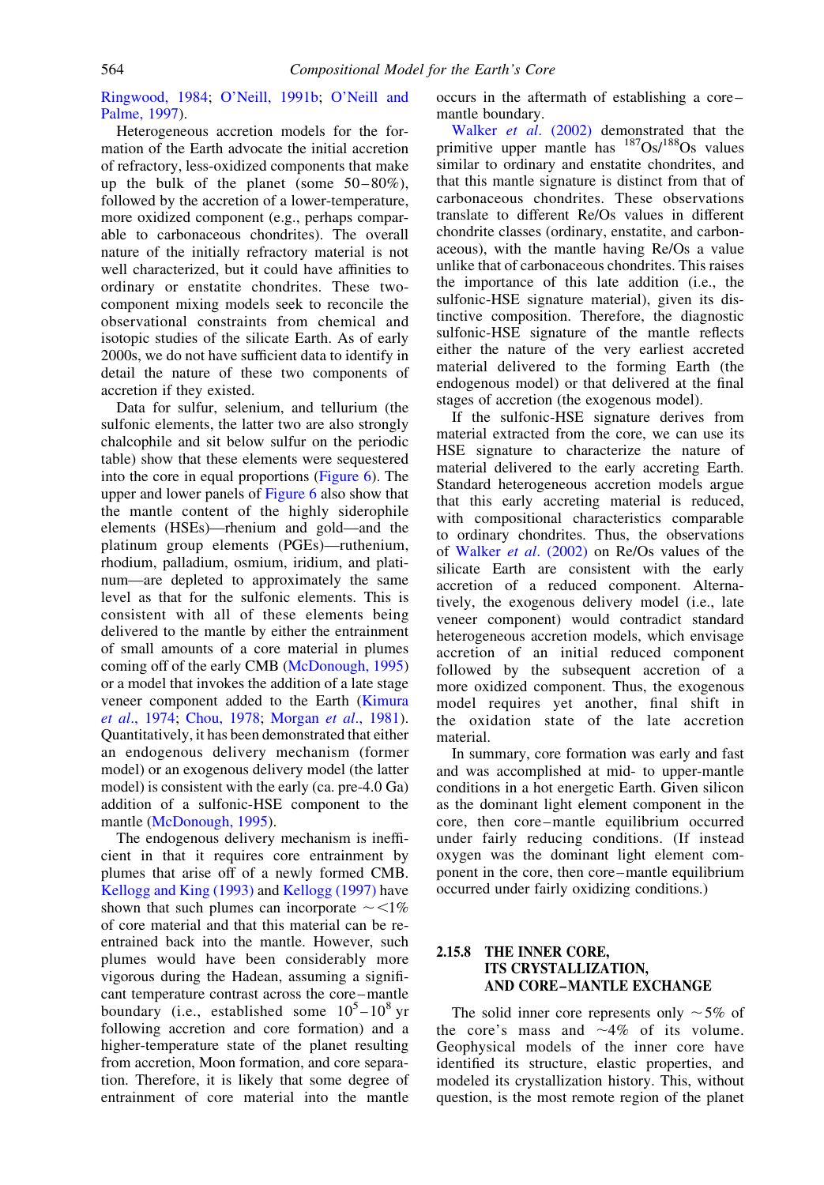[Ringwood, 1984](#page-21-0); [O'Neill, 1991b](#page-20-0); [O'Neill and](#page-20-0) [Palme, 1997](#page-20-0)).

Heterogeneous accretion models for the formation of the Earth advocate the initial accretion of refractory, less-oxidized components that make up the bulk of the planet (some 50–80%), followed by the accretion of a lower-temperature, more oxidized component (e.g., perhaps comparable to carbonaceous chondrites). The overall nature of the initially refractory material is not well characterized, but it could have affinities to ordinary or enstatite chondrites. These twocomponent mixing models seek to reconcile the observational constraints from chemical and isotopic studies of the silicate Earth. As of early 2000s, we do not have sufficient data to identify in detail the nature of these two components of accretion if they existed.

Data for sulfur, selenium, and tellurium (the sulfonic elements, the latter two are also strongly chalcophile and sit below sulfur on the periodic table) show that these elements were sequestered into the core in equal proportions ([Figure 6\)](#page-8-0). The upper and lower panels of [Figure 6](#page-8-0) also show that the mantle content of the highly siderophile elements (HSEs)—rhenium and gold—and the platinum group elements (PGEs)—ruthenium, rhodium, palladium, osmium, iridium, and platinum—are depleted to approximately the same level as that for the sulfonic elements. This is consistent with all of these elements being delivered to the mantle by either the entrainment of small amounts of a core material in plumes coming off of the early CMB [\(McDonough, 1995\)](#page-20-0) or a model that invokes the addition of a late stage veneer component added to the Earth [\(Kimura](#page-20-0) et al[., 1974](#page-20-0); [Chou, 1978](#page-19-0); [Morgan](#page-20-0) et al., 1981). Quantitatively, it has been demonstrated that either an endogenous delivery mechanism (former model) or an exogenous delivery model (the latter model) is consistent with the early (ca. pre-4.0 Ga) addition of a sulfonic-HSE component to the mantle ([McDonough, 1995](#page-20-0)).

The endogenous delivery mechanism is inefficient in that it requires core entrainment by plumes that arise off of a newly formed CMB. [Kellogg and King \(1993\)](#page-20-0) and [Kellogg \(1997\)](#page-20-0) have shown that such plumes can incorporate  $\sim$  <1% of core material and that this material can be reentrained back into the mantle. However, such plumes would have been considerably more vigorous during the Hadean, assuming a significant temperature contrast across the core–mantle boundary (i.e., established some  $10^5 - 10^8$  yr following accretion and core formation) and a higher-temperature state of the planet resulting from accretion, Moon formation, and core separation. Therefore, it is likely that some degree of entrainment of core material into the mantle

occurs in the aftermath of establishing a core– mantle boundary.

Walker et al[. \(2002\)](#page-21-0) demonstrated that the primitive upper mantle has  $187Os/188Os$  values similar to ordinary and enstatite chondrites, and that this mantle signature is distinct from that of carbonaceous chondrites. These observations translate to different Re/Os values in different chondrite classes (ordinary, enstatite, and carbonaceous), with the mantle having Re/Os a value unlike that of carbonaceous chondrites. This raises the importance of this late addition (i.e., the sulfonic-HSE signature material), given its distinctive composition. Therefore, the diagnostic sulfonic-HSE signature of the mantle reflects either the nature of the very earliest accreted material delivered to the forming Earth (the endogenous model) or that delivered at the final stages of accretion (the exogenous model).

If the sulfonic-HSE signature derives from material extracted from the core, we can use its HSE signature to characterize the nature of material delivered to the early accreting Earth. Standard heterogeneous accretion models argue that this early accreting material is reduced, with compositional characteristics comparable to ordinary chondrites. Thus, the observations of Walker et al[. \(2002\)](#page-21-0) on Re/Os values of the silicate Earth are consistent with the early accretion of a reduced component. Alternatively, the exogenous delivery model (i.e., late veneer component) would contradict standard heterogeneous accretion models, which envisage accretion of an initial reduced component followed by the subsequent accretion of a more oxidized component. Thus, the exogenous model requires yet another, final shift in the oxidation state of the late accretion material.

In summary, core formation was early and fast and was accomplished at mid- to upper-mantle conditions in a hot energetic Earth. Given silicon as the dominant light element component in the core, then core–mantle equilibrium occurred under fairly reducing conditions. (If instead oxygen was the dominant light element component in the core, then core–mantle equilibrium occurred under fairly oxidizing conditions.)

## 2.15.8 THE INNER CORE, ITS CRYSTALLIZATION, AND CORE–MANTLE EXCHANGE

The solid inner core represents only  $\sim$  5% of the core's mass and  $\sim$ 4% of its volume. Geophysical models of the inner core have identified its structure, elastic properties, and modeled its crystallization history. This, without question, is the most remote region of the planet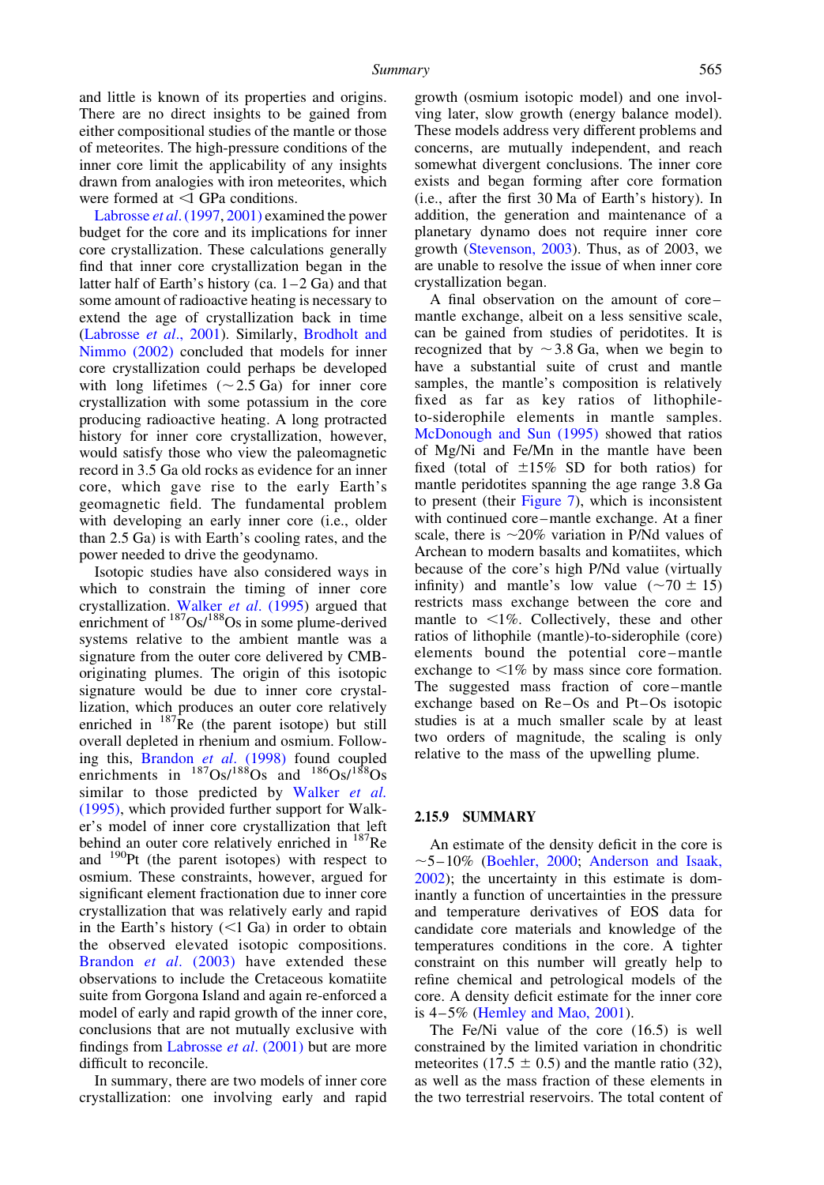and little is known of its properties and origins. There are no direct insights to be gained from either compositional studies of the mantle or those of meteorites. The high-pressure conditions of the inner core limit the applicability of any insights drawn from analogies with iron meteorites, which were formed at  $\triangleleft$  GPa conditions.

[Labrosse](#page-20-0) et al. (1997, [2001\)](#page-20-0) examined the power budget for the core and its implications for inner core crystallization. These calculations generally find that inner core crystallization began in the latter half of Earth's history (ca.  $1-2$  Ga) and that some amount of radioactive heating is necessary to extend the age of crystallization back in time ([Labrosse](#page-20-0) et al., 2001). Similarly, [Brodholt and](#page-19-0) [Nimmo \(2002\)](#page-19-0) concluded that models for inner core crystallization could perhaps be developed with long lifetimes  $(\sim 2.5 \text{ Ga})$  for inner core crystallization with some potassium in the core producing radioactive heating. A long protracted history for inner core crystallization, however, would satisfy those who view the paleomagnetic record in 3.5 Ga old rocks as evidence for an inner core, which gave rise to the early Earth's geomagnetic field. The fundamental problem with developing an early inner core (i.e., older than 2.5 Ga) is with Earth's cooling rates, and the power needed to drive the geodynamo.

Isotopic studies have also considered ways in which to constrain the timing of inner core crystallization. Walker et al[. \(1995\)](#page-21-0) argued that enrichment of  $187$ Os/ $188$ Os in some plume-derived systems relative to the ambient mantle was a signature from the outer core delivered by CMBoriginating plumes. The origin of this isotopic signature would be due to inner core crystallization, which produces an outer core relatively enriched in  $^{187}$ Re (the parent isotope) but still overall depleted in rhenium and osmium. Following this, [Brandon](#page-19-0) et al. (1998) found coupled enrichments in  $^{187}Os/^{188}Os$  and  $^{186}Os/^{188}Os$ similar to those predicted by [Walker](#page-21-0) et al. [\(1995\)](#page-21-0), which provided further support for Walker's model of inner core crystallization that left behind an outer core relatively enriched in <sup>187</sup>Re and  $190$ Pt (the parent isotopes) with respect to osmium. These constraints, however, argued for significant element fractionation due to inner core crystallization that was relatively early and rapid in the Earth's history  $(<1$  Ga) in order to obtain the observed elevated isotopic compositions. Brandon *et al.* (2003) have extended these observations to include the Cretaceous komatiite suite from Gorgona Island and again re-enforced a model of early and rapid growth of the inner core, conclusions that are not mutually exclusive with findings from [Labrosse](#page-20-0) *et al.*  $(2001)$  but are more difficult to reconcile.

In summary, there are two models of inner core crystallization: one involving early and rapid growth (osmium isotopic model) and one involving later, slow growth (energy balance model). These models address very different problems and concerns, are mutually independent, and reach somewhat divergent conclusions. The inner core exists and began forming after core formation (i.e., after the first 30 Ma of Earth's history). In addition, the generation and maintenance of a planetary dynamo does not require inner core growth [\(Stevenson, 2003](#page-21-0)). Thus, as of 2003, we are unable to resolve the issue of when inner core crystallization began.

A final observation on the amount of core– mantle exchange, albeit on a less sensitive scale, can be gained from studies of peridotites. It is recognized that by  $\sim$  3.8 Ga, when we begin to have a substantial suite of crust and mantle samples, the mantle's composition is relatively fixed as far as key ratios of lithophileto-siderophile elements in mantle samples. [McDonough and Sun \(1995\)](#page-20-0) showed that ratios of Mg/Ni and Fe/Mn in the mantle have been fixed (total of  $\pm 15\%$  SD for both ratios) for mantle peridotites spanning the age range 3.8 Ga to present (their [Figure 7](#page-10-0)), which is inconsistent with continued core–mantle exchange. At a finer scale, there is  $\sim$ 20% variation in P/Nd values of Archean to modern basalts and komatiites, which because of the core's high P/Nd value (virtually infinity) and mantle's low value  $({\sim}70 \pm 15)$ restricts mass exchange between the core and mantle to  $\leq 1\%$ . Collectively, these and other ratios of lithophile (mantle)-to-siderophile (core) elements bound the potential core–mantle exchange to  $\leq 1\%$  by mass since core formation. The suggested mass fraction of core–mantle exchange based on Re–Os and Pt–Os isotopic studies is at a much smaller scale by at least two orders of magnitude, the scaling is only relative to the mass of the upwelling plume.

#### 2.15.9 SUMMARY

An estimate of the density deficit in the core is  $\sim$  5–10% ([Boehler, 2000;](#page-19-0) [Anderson and Isaak,](#page-19-0) [2002\)](#page-19-0); the uncertainty in this estimate is dominantly a function of uncertainties in the pressure and temperature derivatives of EOS data for candidate core materials and knowledge of the temperatures conditions in the core. A tighter constraint on this number will greatly help to refine chemical and petrological models of the core. A density deficit estimate for the inner core is 4–5% ([Hemley and Mao, 2001\)](#page-20-0).

The Fe/Ni value of the core (16.5) is well constrained by the limited variation in chondritic meteorites (17.5  $\pm$  0.5) and the mantle ratio (32), as well as the mass fraction of these elements in the two terrestrial reservoirs. The total content of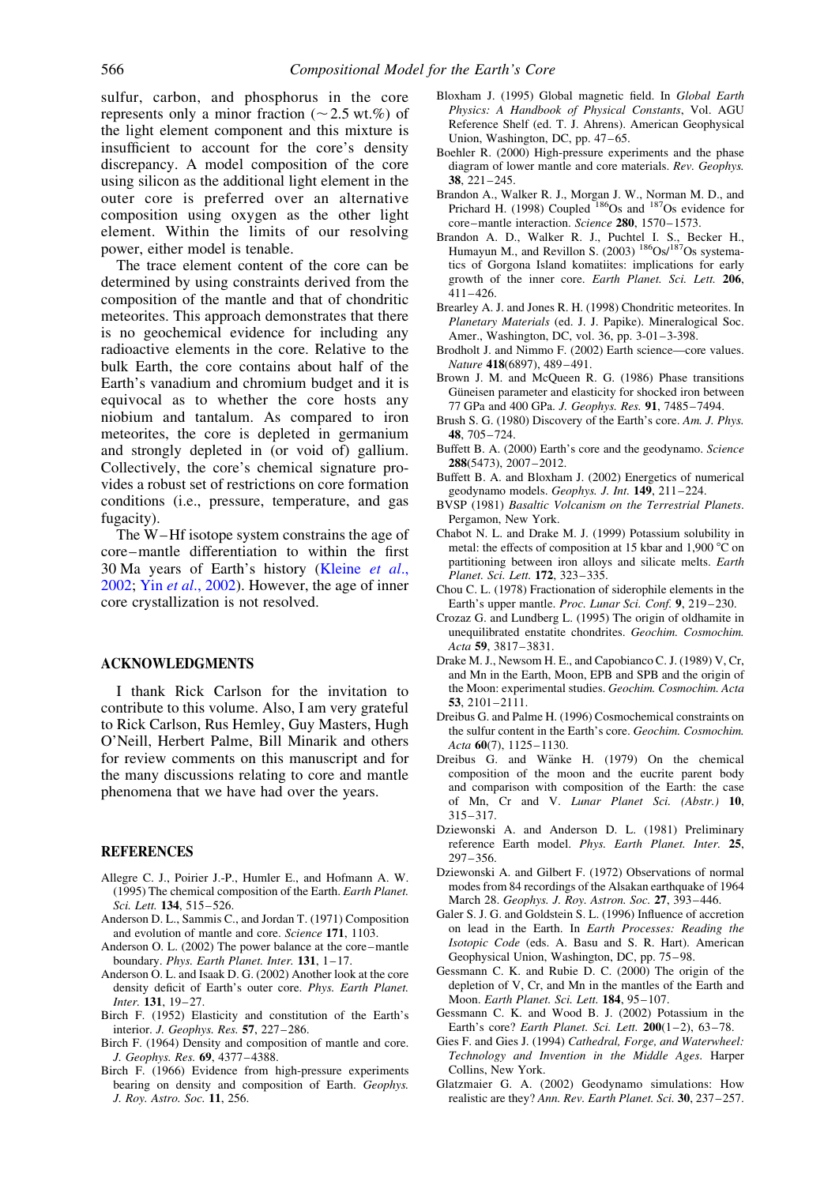<span id="page-19-0"></span>sulfur, carbon, and phosphorus in the core represents only a minor fraction ( $\sim$  2.5 wt.%) of the light element component and this mixture is insufficient to account for the core's density discrepancy. A model composition of the core using silicon as the additional light element in the outer core is preferred over an alternative composition using oxygen as the other light element. Within the limits of our resolving power, either model is tenable.

The trace element content of the core can be determined by using constraints derived from the composition of the mantle and that of chondritic meteorites. This approach demonstrates that there is no geochemical evidence for including any radioactive elements in the core. Relative to the bulk Earth, the core contains about half of the Earth's vanadium and chromium budget and it is equivocal as to whether the core hosts any niobium and tantalum. As compared to iron meteorites, the core is depleted in germanium and strongly depleted in (or void of) gallium. Collectively, the core's chemical signature provides a robust set of restrictions on core formation conditions (i.e., pressure, temperature, and gas fugacity).

The W–Hf isotope system constrains the age of core–mantle differentiation to within the first 30 Ma years of Earth's history [\(Kleine](#page-20-0) et al., [2002;](#page-20-0) Yin et al[., 2002\)](#page-21-0). However, the age of inner core crystallization is not resolved.

#### ACKNOWLEDGMENTS

I thank Rick Carlson for the invitation to contribute to this volume. Also, I am very grateful to Rick Carlson, Rus Hemley, Guy Masters, Hugh O'Neill, Herbert Palme, Bill Minarik and others for review comments on this manuscript and for the many discussions relating to core and mantle phenomena that we have had over the years.

#### REFERENCES

- Allegre C. J., Poirier J.-P., Humler E., and Hofmann A. W. (1995) The chemical composition of the Earth. Earth Planet. Sci. Lett. 134, 515–526.
- Anderson D. L., Sammis C., and Jordan T. (1971) Composition and evolution of mantle and core. Science 171, 1103.
- Anderson O. L. (2002) The power balance at the core–mantle boundary. Phys. Earth Planet. Inter. 131, 1–17.
- Anderson O. L. and Isaak D. G. (2002) Another look at the core density deficit of Earth's outer core. Phys. Earth Planet. Inter. 131, 19–27.
- Birch F. (1952) Elasticity and constitution of the Earth's interior. J. Geophys. Res. 57, 227–286.
- Birch F. (1964) Density and composition of mantle and core. J. Geophys. Res. 69, 4377–4388.
- Birch F. (1966) Evidence from high-pressure experiments bearing on density and composition of Earth. Geophys. J. Roy. Astro. Soc. 11, 256.
- Bloxham J. (1995) Global magnetic field. In Global Earth Physics: A Handbook of Physical Constants, Vol. AGU Reference Shelf (ed. T. J. Ahrens). American Geophysical Union, Washington, DC, pp. 47–65.
- Boehler R. (2000) High-pressure experiments and the phase diagram of lower mantle and core materials. Rev. Geophys. 38, 221–245.
- Brandon A., Walker R. J., Morgan J. W., Norman M. D., and Prichard H. (1998) Coupled  $186$ Os and  $187$ Os evidence for core–mantle interaction. Science 280, 1570–1573.
- Brandon A. D., Walker R. J., Puchtel I. S., Becker H., Humayun M., and Revillon S.  $(2003)$ <sup>186</sup>Os/<sup>187</sup>Os systematics of Gorgona Island komatiites: implications for early growth of the inner core. Earth Planet. Sci. Lett. 206, 411–426.
- Brearley A. J. and Jones R. H. (1998) Chondritic meteorites. In Planetary Materials (ed. J. J. Papike). Mineralogical Soc. Amer., Washington, DC, vol. 36, pp. 3-01–3-398.
- Brodholt J. and Nimmo F. (2002) Earth science—core values. Nature 418(6897), 489–491.
- Brown J. M. and McQueen R. G. (1986) Phase transitions Güneisen parameter and elasticity for shocked iron between 77 GPa and 400 GPa. J. Geophys. Res. 91, 7485–7494.
- Brush S. G. (1980) Discovery of the Earth's core. Am. J. Phys. 48, 705–724.
- Buffett B. A. (2000) Earth's core and the geodynamo. Science 288(5473), 2007–2012.
- Buffett B. A. and Bloxham J. (2002) Energetics of numerical geodynamo models. Geophys. J. Int. 149, 211–224.
- BVSP (1981) Basaltic Volcanism on the Terrestrial Planets. Pergamon, New York.
- Chabot N. L. and Drake M. J. (1999) Potassium solubility in metal: the effects of composition at 15 kbar and 1,900  $^{\circ}$ C on partitioning between iron alloys and silicate melts. Earth Planet. Sci. Lett. 172, 323–335.
- Chou C. L. (1978) Fractionation of siderophile elements in the Earth's upper mantle. Proc. Lunar Sci. Conf. 9, 219–230.
- Crozaz G. and Lundberg L. (1995) The origin of oldhamite in unequilibrated enstatite chondrites. Geochim. Cosmochim. Acta 59, 3817–3831.
- Drake M. J., Newsom H. E., and Capobianco C. J. (1989) V, Cr, and Mn in the Earth, Moon, EPB and SPB and the origin of the Moon: experimental studies. Geochim. Cosmochim. Acta 53, 2101–2111.
- Dreibus G. and Palme H. (1996) Cosmochemical constraints on the sulfur content in the Earth's core. Geochim. Cosmochim. Acta 60(7), 1125–1130.
- Dreibus G. and Wänke H. (1979) On the chemical composition of the moon and the eucrite parent body and comparison with composition of the Earth: the case of Mn, Cr and V. Lunar Planet Sci. (Abstr.) 10, 315–317.
- Dziewonski A. and Anderson D. L. (1981) Preliminary reference Earth model. Phys. Earth Planet. Inter. 25, 297–356.
- Dziewonski A. and Gilbert F. (1972) Observations of normal modes from 84 recordings of the Alsakan earthquake of 1964 March 28. Geophys. J. Roy. Astron. Soc. 27, 393–446.
- Galer S. J. G. and Goldstein S. L. (1996) Influence of accretion on lead in the Earth. In Earth Processes: Reading the Isotopic Code (eds. A. Basu and S. R. Hart). American Geophysical Union, Washington, DC, pp. 75–98.
- Gessmann C. K. and Rubie D. C. (2000) The origin of the depletion of V, Cr, and Mn in the mantles of the Earth and Moon. Earth Planet. Sci. Lett. 184, 95–107.
- Gessmann C. K. and Wood B. J. (2002) Potassium in the Earth's core? Earth Planet. Sci. Lett. 200(1–2), 63–78.
- Gies F. and Gies J. (1994) Cathedral, Forge, and Waterwheel: Technology and Invention in the Middle Ages. Harper Collins, New York.
- Glatzmaier G. A. (2002) Geodynamo simulations: How realistic are they? Ann. Rev. Earth Planet. Sci. 30, 237–257.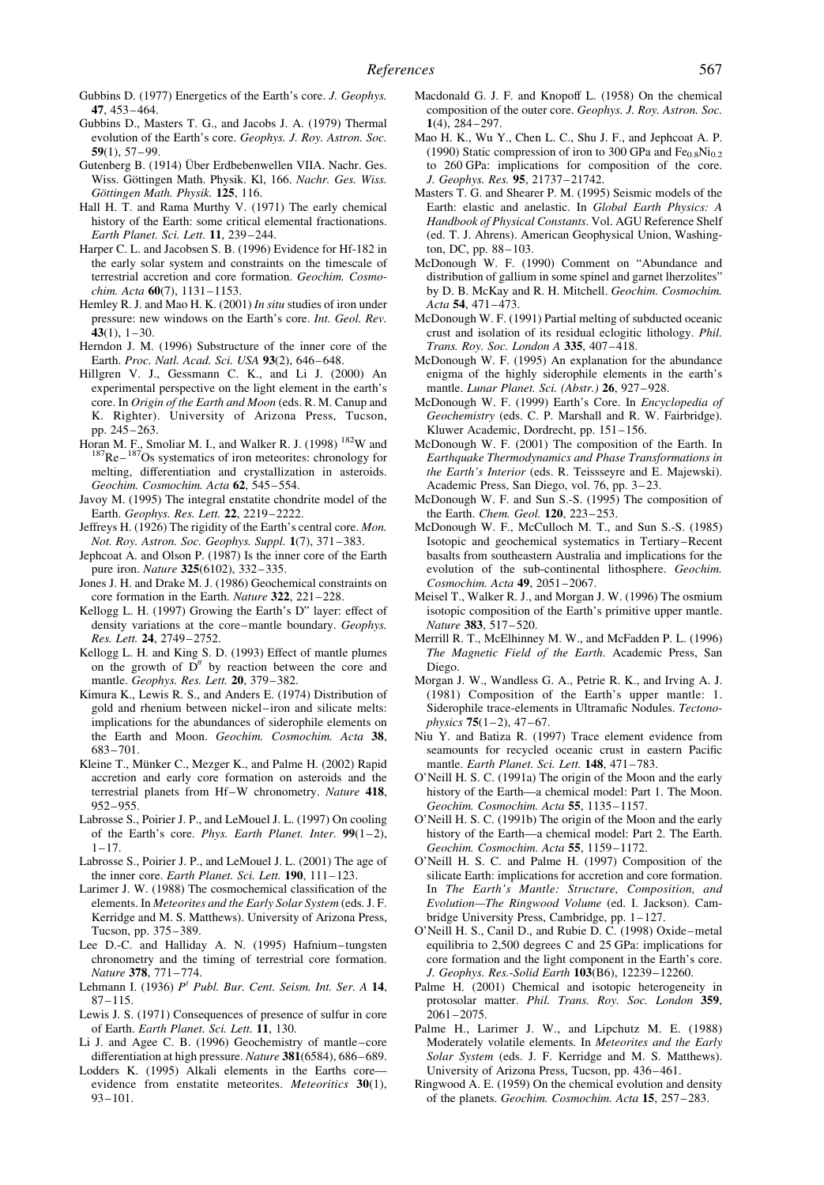- <span id="page-20-0"></span>Gubbins D. (1977) Energetics of the Earth's core. J. Geophys. 47, 453–464.
- Gubbins D., Masters T. G., and Jacobs J. A. (1979) Thermal evolution of the Earth's core. Geophys. J. Roy. Astron. Soc. 59(1), 57–99.
- Gutenberg B. (1914) Über Erdbebenwellen VIIA. Nachr. Ges. Wiss. Göttingen Math. Physik. Kl, 166. Nachr. Ges. Wiss. Göttingen Math. Physik. 125, 116.
- Hall H. T. and Rama Murthy V. (1971) The early chemical history of the Earth: some critical elemental fractionations. Earth Planet. Sci. Lett. 11, 239–244.
- Harper C. L. and Jacobsen S. B. (1996) Evidence for Hf-182 in the early solar system and constraints on the timescale of terrestrial accretion and core formation. Geochim. Cosmochim. Acta 60(7), 1131-1153.
- Hemley R. J. and Mao H. K. (2001) In situ studies of iron under pressure: new windows on the Earth's core. Int. Geol. Rev.  $43(1), 1-30.$
- Herndon J. M. (1996) Substructure of the inner core of the Earth. Proc. Natl. Acad. Sci. USA 93(2), 646–648.
- Hillgren V. J., Gessmann C. K., and Li J. (2000) An experimental perspective on the light element in the earth's core. In Origin of the Earth and Moon (eds. R. M. Canup and K. Righter). University of Arizona Press, Tucson, pp. 245–263.
- Horan M. F., Smoliar M. I., and Walker R. J. (1998) <sup>182</sup>W and <sup>187</sup>Re–<sup>187</sup>Os systematics of iron meteorites: chronology for melting, differentiation and crystallization in asteroids. Geochim. Cosmochim. Acta 62, 545–554.
- Javoy M. (1995) The integral enstatite chondrite model of the Earth. Geophys. Res. Lett. 22, 2219–2222.
- Jeffreys H. (1926) The rigidity of the Earth's central core. Mon. Not. Roy. Astron. Soc. Geophys. Suppl. 1(7), 371–383.
- Jephcoat A. and Olson P. (1987) Is the inner core of the Earth pure iron. Nature 325(6102), 332–335.
- Jones J. H. and Drake M. J. (1986) Geochemical constraints on core formation in the Earth. Nature 322, 221–228.
- Kellogg L. H. (1997) Growing the Earth's D" layer: effect of density variations at the core–mantle boundary. Geophys. Res. Lett. 24, 2749–2752.
- Kellogg L. H. and King S. D. (1993) Effect of mantle plumes on the growth of  $D^{\prime\prime}$  by reaction between the core and mantle. Geophys. Res. Lett. 20, 379–382.
- Kimura K., Lewis R. S., and Anders E. (1974) Distribution of gold and rhenium between nickel–iron and silicate melts: implications for the abundances of siderophile elements on the Earth and Moon. Geochim. Cosmochim. Acta 38, 683–701.
- Kleine T., Münker C., Mezger K., and Palme H. (2002) Rapid accretion and early core formation on asteroids and the terrestrial planets from Hf–W chronometry. Nature 418, 952–955.
- Labrosse S., Poirier J. P., and LeMouel J. L. (1997) On cooling of the Earth's core. Phys. Earth Planet. Inter.  $99(1-2)$ , 1–17.
- Labrosse S., Poirier J. P., and LeMouel J. L. (2001) The age of the inner core. Earth Planet. Sci. Lett. 190, 111-123.
- Larimer J. W. (1988) The cosmochemical classification of the elements. In Meteorites and the Early Solar System (eds. J. F. Kerridge and M. S. Matthews). University of Arizona Press, Tucson, pp. 375–389.
- Lee D.-C. and Halliday A. N. (1995) Hafnium–tungsten chronometry and the timing of terrestrial core formation. Nature 378, 771–774.
- Lehmann I. (1936)  $P'$  Publ. Bur. Cent. Seism. Int. Ser. A 14, 87–115.
- Lewis J. S. (1971) Consequences of presence of sulfur in core of Earth. Earth Planet. Sci. Lett. 11, 130.
- Li J. and Agee C. B. (1996) Geochemistry of mantle–core differentiation at high pressure. Nature 381(6584), 686–689.
- Lodders K. (1995) Alkali elements in the Earths core evidence from enstatite meteorites. Meteoritics  $30(1)$ , 93–101.
- Macdonald G. J. F. and Knopoff L. (1958) On the chemical composition of the outer core. Geophys. J. Roy. Astron. Soc. 1(4), 284–297.
- Mao H. K., Wu Y., Chen L. C., Shu J. F., and Jephcoat A. P. (1990) Static compression of iron to 300 GPa and  $Fe<sub>0.8</sub>Ni<sub>0.2</sub>$ to 260 GPa: implications for composition of the core. J. Geophys. Res. 95, 21737–21742.
- Masters T. G. and Shearer P. M. (1995) Seismic models of the Earth: elastic and anelastic. In Global Earth Physics: A Handbook of Physical Constants. Vol. AGU Reference Shelf (ed. T. J. Ahrens). American Geophysical Union, Washington, DC, pp. 88–103.
- McDonough W. F. (1990) Comment on "Abundance and distribution of gallium in some spinel and garnet lherzolites" by D. B. McKay and R. H. Mitchell. Geochim. Cosmochim. Acta 54, 471–473.
- McDonough W. F. (1991) Partial melting of subducted oceanic crust and isolation of its residual eclogitic lithology. Phil. Trans. Roy. Soc. London A 335, 407–418.
- McDonough W. F. (1995) An explanation for the abundance enigma of the highly siderophile elements in the earth's mantle. Lunar Planet. Sci. (Abstr.) 26, 927–928.
- McDonough W. F. (1999) Earth's Core. In Encyclopedia of Geochemistry (eds. C. P. Marshall and R. W. Fairbridge). Kluwer Academic, Dordrecht, pp. 151–156.
- McDonough W. F. (2001) The composition of the Earth. In Earthquake Thermodynamics and Phase Transformations in the Earth's Interior (eds. R. Teissseyre and E. Majewski). Academic Press, San Diego, vol. 76, pp. 3–23.
- McDonough W. F. and Sun S.-S. (1995) The composition of the Earth. Chem. Geol. 120, 223–253.
- McDonough W. F., McCulloch M. T., and Sun S.-S. (1985) Isotopic and geochemical systematics in Tertiary–Recent basalts from southeastern Australia and implications for the evolution of the sub-continental lithosphere. Geochim. Cosmochim. Acta 49, 2051–2067.
- Meisel T., Walker R. J., and Morgan J. W. (1996) The osmium isotopic composition of the Earth's primitive upper mantle. Nature 383, 517–520.
- Merrill R. T., McElhinney M. W., and McFadden P. L. (1996) The Magnetic Field of the Earth. Academic Press, San Diego.
- Morgan J. W., Wandless G. A., Petrie R. K., and Irving A. J. (1981) Composition of the Earth's upper mantle: 1. Siderophile trace-elements in Ultramafic Nodules. Tectonophysics  $75(1-2)$ , 47-67.
- Niu Y. and Batiza R. (1997) Trace element evidence from seamounts for recycled oceanic crust in eastern Pacific mantle. Earth Planet. Sci. Lett. 148, 471-783.
- O'Neill H. S. C. (1991a) The origin of the Moon and the early history of the Earth—a chemical model: Part 1. The Moon. Geochim. Cosmochim. Acta 55, 1135–1157.
- O'Neill H. S. C. (1991b) The origin of the Moon and the early history of the Earth—a chemical model: Part 2. The Earth. Geochim. Cosmochim. Acta 55, 1159–1172.
- O'Neill H. S. C. and Palme H. (1997) Composition of the silicate Earth: implications for accretion and core formation. In The Earth's Mantle: Structure, Composition, and Evolution—The Ringwood Volume (ed. I. Jackson). Cambridge University Press, Cambridge, pp. 1–127.
- O'Neill H. S., Canil D., and Rubie D. C. (1998) Oxide–metal equilibria to 2,500 degrees C and 25 GPa: implications for core formation and the light component in the Earth's core. J. Geophys. Res.-Solid Earth 103(B6), 12239–12260.
- Palme H. (2001) Chemical and isotopic heterogeneity in protosolar matter. Phil. Trans. Roy. Soc. London 359, 2061–2075.
- Palme H., Larimer J. W., and Lipchutz M. E. (1988) Moderately volatile elements. In Meteorites and the Early Solar System (eds. J. F. Kerridge and M. S. Matthews). University of Arizona Press, Tucson, pp. 436–461.
- Ringwood A. E. (1959) On the chemical evolution and density of the planets. Geochim. Cosmochim. Acta 15, 257–283.